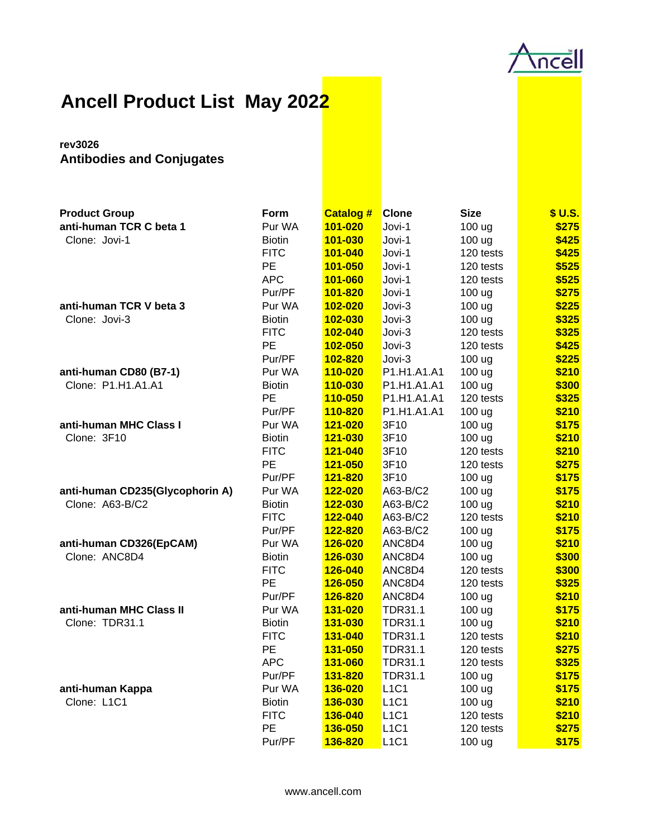

## **Ancell Product List May 2022**

## **rev3026 Antibodies and Conjugates**

| <b>Product Group</b>            | Form          | <b>Catalog #</b> | <b>Clone</b>   | <b>Size</b> | \$ U.S. |
|---------------------------------|---------------|------------------|----------------|-------------|---------|
| anti-human TCR C beta 1         | Pur WA        | 101-020          | Jovi-1         | 100 ug      | \$275   |
| Clone: Jovi-1                   | <b>Biotin</b> | 101-030          | Jovi-1         | 100 ug      | \$425   |
|                                 | <b>FITC</b>   | 101-040          | Jovi-1         | 120 tests   | \$425   |
|                                 | PE            | 101-050          | Jovi-1         | 120 tests   | \$525   |
|                                 | <b>APC</b>    | 101-060          | Jovi-1         | 120 tests   | \$525   |
|                                 | Pur/PF        | 101-820          | Jovi-1         | 100 ug      | \$275   |
| anti-human TCR V beta 3         | Pur WA        | 102-020          | Jovi-3         | 100 ug      | \$225   |
| Clone: Jovi-3                   | <b>Biotin</b> | 102-030          | Jovi-3         | 100 ug      | \$325   |
|                                 | <b>FITC</b>   | 102-040          | Jovi-3         | 120 tests   | \$325   |
|                                 | PE            | 102-050          | Jovi-3         | 120 tests   | \$425   |
|                                 | Pur/PF        | 102-820          | Jovi-3         | 100 ug      | \$225   |
| anti-human CD80 (B7-1)          | Pur WA        | 110-020          | P1.H1.A1.A1    | 100 ug      | \$210   |
| Clone: P1.H1.A1.A1              | <b>Biotin</b> | 110-030          | P1.H1.A1.A1    | 100 ug      | \$300   |
|                                 | PE            | 110-050          | P1.H1.A1.A1    | 120 tests   | \$325   |
|                                 | Pur/PF        | 110-820          | P1.H1.A1.A1    | 100 ug      | \$210   |
| anti-human MHC Class I          | Pur WA        | 121-020          | 3F10           | 100 ug      | \$175   |
| Clone: 3F10                     | <b>Biotin</b> | 121-030          | 3F10           | 100 ug      | \$210   |
|                                 | <b>FITC</b>   | 121-040          | 3F10           | 120 tests   | \$210   |
|                                 | PE            | 121-050          | 3F10           | 120 tests   | \$275   |
|                                 | Pur/PF        | 121-820          | 3F10           | 100 ug      | \$175   |
| anti-human CD235(Glycophorin A) | Pur WA        | 122-020          | A63-B/C2       | 100 ug      | \$175   |
| Clone: A63-B/C2                 | <b>Biotin</b> | 122-030          | A63-B/C2       | 100 ug      | \$210   |
|                                 | <b>FITC</b>   | 122-040          | A63-B/C2       | 120 tests   | \$210   |
|                                 | Pur/PF        | 122-820          | A63-B/C2       | 100 ug      | \$175   |
| anti-human CD326(EpCAM)         | Pur WA        | 126-020          | ANC8D4         | 100 ug      | \$210   |
| Clone: ANC8D4                   | <b>Biotin</b> | 126-030          | ANC8D4         | 100 ug      | \$300   |
|                                 | <b>FITC</b>   | 126-040          | ANC8D4         | 120 tests   | \$300   |
|                                 | <b>PE</b>     | 126-050          | ANC8D4         | 120 tests   | \$325   |
|                                 | Pur/PF        | 126-820          | ANC8D4         | 100 ug      | \$210   |
| anti-human MHC Class II         | Pur WA        | 131-020          | <b>TDR31.1</b> | 100 ug      | \$175   |
| Clone: TDR31.1                  | <b>Biotin</b> | 131-030          | <b>TDR31.1</b> | 100 ug      | \$210   |
|                                 | <b>FITC</b>   | 131-040          | <b>TDR31.1</b> | 120 tests   | \$210   |
|                                 | PE            | 131-050          | <b>TDR31.1</b> | 120 tests   | \$275   |
|                                 | <b>APC</b>    | 131-060          | <b>TDR31.1</b> | 120 tests   | \$325   |
|                                 | Pur/PF        | 131-820          | <b>TDR31.1</b> | 100 ug      | \$175   |
| anti-human Kappa                | Pur WA        | 136-020          | <b>L1C1</b>    | 100 ug      | \$175   |
| Clone: L1C1                     | <b>Biotin</b> | 136-030          | <b>L1C1</b>    | 100 ug      | \$210   |
|                                 | <b>FITC</b>   | 136-040          | <b>L1C1</b>    | 120 tests   | \$210   |
|                                 | PE            | 136-050          | <b>L1C1</b>    | 120 tests   | \$275   |
|                                 | Pur/PF        | 136-820          | <b>L1C1</b>    | 100 ug      | \$175   |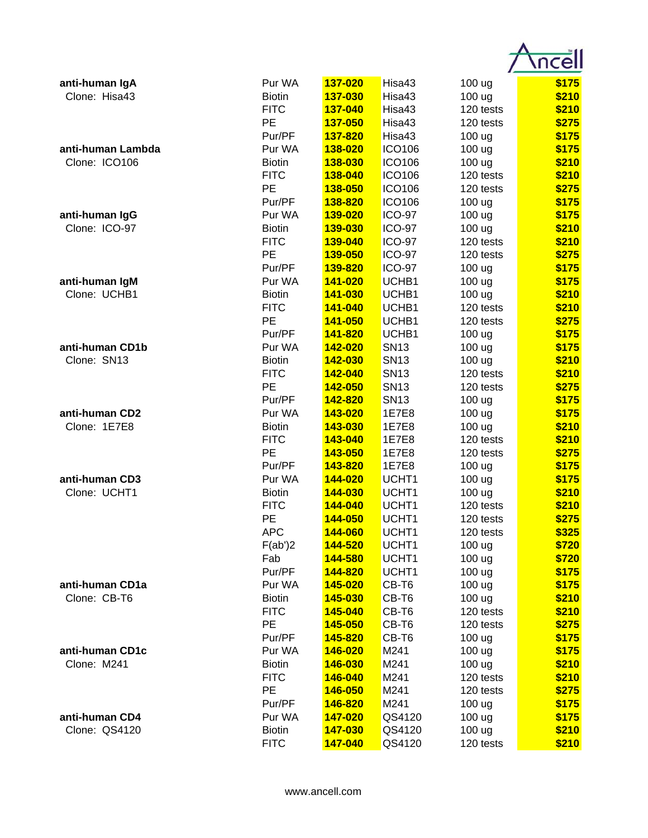| anti-human IgA    | Pur WA        | 137-020        | Hisa43            | 100 ug    | \$175 |
|-------------------|---------------|----------------|-------------------|-----------|-------|
| Clone: Hisa43     | <b>Biotin</b> | 137-030        | Hisa43            | 100 ug    | \$210 |
|                   | <b>FITC</b>   | 137-040        | Hisa43            | 120 tests | \$210 |
|                   | PE            | 137-050        | Hisa43            | 120 tests | \$275 |
|                   | Pur/PF        | 137-820        | Hisa43            | 100 ug    | \$175 |
| anti-human Lambda | Pur WA        | 138-020        | <b>ICO106</b>     | 100 ug    | \$175 |
| Clone: ICO106     | <b>Biotin</b> | 138-030        | <b>ICO106</b>     | 100 ug    | \$210 |
|                   | <b>FITC</b>   | 138-040        | <b>ICO106</b>     | 120 tests | \$210 |
|                   | PE            | 138-050        | <b>ICO106</b>     | 120 tests | \$275 |
|                   | Pur/PF        | 138-820        | <b>ICO106</b>     | 100 ug    | \$175 |
| anti-human IgG    | Pur WA        | 139-020        | <b>ICO-97</b>     | 100 ug    | \$175 |
| Clone: ICO-97     | <b>Biotin</b> | 139-030        | <b>ICO-97</b>     | 100 ug    | \$210 |
|                   | <b>FITC</b>   | 139-040        | <b>ICO-97</b>     | 120 tests | \$210 |
|                   | PE            | 139-050        | <b>ICO-97</b>     | 120 tests | \$275 |
|                   | Pur/PF        | 139-820        | <b>ICO-97</b>     | 100 ug    | \$175 |
| anti-human IgM    | Pur WA        | 141-020        | UCHB1             | 100 ug    | \$175 |
| Clone: UCHB1      | <b>Biotin</b> | 141-030        | UCHB1             | 100 ug    | \$210 |
|                   | <b>FITC</b>   | 141-040        | UCHB1             | 120 tests | \$210 |
|                   | PE            | 141-050        | UCHB1             | 120 tests | \$275 |
|                   | Pur/PF        | 141-820        | UCHB1             | 100 ug    | \$175 |
| anti-human CD1b   | Pur WA        | 142-020        | <b>SN13</b>       | 100 ug    | \$175 |
| Clone: SN13       | <b>Biotin</b> | 142-030        | <b>SN13</b>       | 100 ug    | \$210 |
|                   | <b>FITC</b>   | 142-040        | <b>SN13</b>       | 120 tests | \$210 |
|                   | <b>PE</b>     | 142-050        | <b>SN13</b>       | 120 tests | \$275 |
|                   | Pur/PF        | 142-820        | <b>SN13</b>       | 100 ug    | \$175 |
| anti-human CD2    | Pur WA        | 143-020        | 1E7E8             | 100 ug    | \$175 |
| Clone: 1E7E8      | <b>Biotin</b> | 143-030        | 1E7E8             | 100 ug    | \$210 |
|                   | <b>FITC</b>   | 143-040        | 1E7E8             | 120 tests | \$210 |
|                   | PE            | 143-050        | 1E7E8             | 120 tests | \$275 |
|                   | Pur/PF        | 143-820        | 1E7E8             | 100 ug    | \$175 |
| anti-human CD3    | Pur WA        | 144-020        | UCHT1             | 100 ug    | \$175 |
| Clone: UCHT1      | <b>Biotin</b> | 144-030        | UCHT1             | 100 ug    | \$210 |
|                   | <b>FITC</b>   | 144-040        | UCHT1             | 120 tests | \$210 |
|                   | РE            | <u>144-050</u> | UCHT <sub>1</sub> | 120 tests | \$275 |
|                   | <b>APC</b>    | 144-060        | UCHT1             | 120 tests | \$325 |
|                   | F(ab')2       | 144-520        | UCHT1             | 100 ug    | \$720 |
|                   | Fab           | 144-580        | UCHT1             | 100 ug    | \$720 |
|                   | Pur/PF        | 144-820        | UCHT1             | 100 ug    | \$175 |
| anti-human CD1a   | Pur WA        | 145-020        | CB-T6             | 100 ug    | \$175 |
| Clone: CB-T6      | <b>Biotin</b> | 145-030        | CB-T6             | 100 ug    | \$210 |
|                   | <b>FITC</b>   | 145-040        | CB-T6             | 120 tests | \$210 |
|                   | PE            | 145-050        | CB-T6             | 120 tests | \$275 |
|                   | Pur/PF        | 145-820        | CB-T6             | 100 ug    | \$175 |
| anti-human CD1c   | Pur WA        | 146-020        | M241              | 100 ug    | \$175 |
| Clone: M241       | <b>Biotin</b> | 146-030        | M241              | 100 ug    | \$210 |
|                   | <b>FITC</b>   | 146-040        | M241              | 120 tests | \$210 |
|                   | PE            | 146-050        | M241              | 120 tests | \$275 |
|                   | Pur/PF        | 146-820        | M241              | 100 ug    | \$175 |
| anti-human CD4    | Pur WA        | 147-020        | QS4120            | 100 ug    | \$175 |
| Clone: QS4120     | <b>Biotin</b> | 147-030        | QS4120            | 100 ug    | \$210 |
|                   | <b>FITC</b>   | 147-040        | QS4120            | 120 tests | \$210 |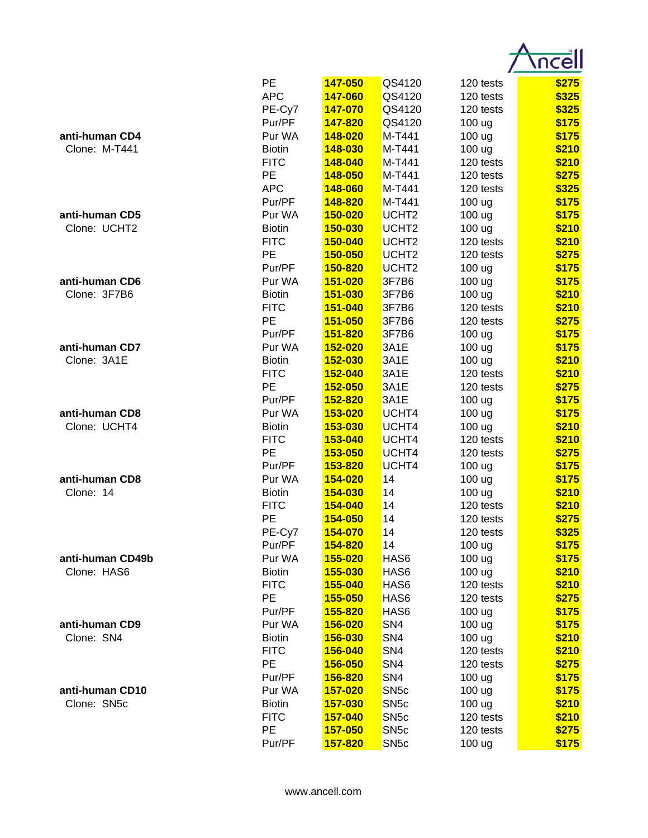

|                  | PE            | 147-050        | QS4120            | 120 tests | \$275 |
|------------------|---------------|----------------|-------------------|-----------|-------|
|                  | <b>APC</b>    | 147-060        | QS4120            | 120 tests | \$325 |
|                  | PE-Cy7        | 147-070        | QS4120            | 120 tests | \$325 |
|                  | Pur/PF        | 147-820        | QS4120            | 100 ug    | \$175 |
| anti-human CD4   | Pur WA        | 148-020        | M-T441            | 100 ug    | \$175 |
| Clone: M-T441    | <b>Biotin</b> | 148-030        | M-T441            | 100 ug    | \$210 |
|                  | <b>FITC</b>   | 148-040        | M-T441            | 120 tests | \$210 |
|                  | PE            | 148-050        | M-T441            | 120 tests | \$275 |
|                  | <b>APC</b>    | 148-060        | M-T441            | 120 tests | \$325 |
|                  | Pur/PF        | 148-820        | M-T441            | 100 ug    | \$175 |
| anti-human CD5   | Pur WA        | 150-020        | UCHT <sub>2</sub> | 100 ug    | \$175 |
| Clone: UCHT2     | <b>Biotin</b> | 150-030        | UCHT <sub>2</sub> | 100 ug    | \$210 |
|                  | <b>FITC</b>   | 150-040        | UCHT <sub>2</sub> | 120 tests | \$210 |
|                  | PE            | 150-050        | UCHT <sub>2</sub> | 120 tests | \$275 |
|                  | Pur/PF        | 150-820        | UCHT <sub>2</sub> | 100 ug    | \$175 |
| anti-human CD6   | Pur WA        | 151-020        | 3F7B6             | 100 ug    | \$175 |
| Clone: 3F7B6     | <b>Biotin</b> | 151-030        | 3F7B6             | 100 ug    | \$210 |
|                  | <b>FITC</b>   | 151-040        | 3F7B6             | 120 tests | \$210 |
|                  | PE            | 151-050        | 3F7B6             | 120 tests | \$275 |
|                  | Pur/PF        | 151-820        | 3F7B6             | 100 ug    | \$175 |
| anti-human CD7   | Pur WA        | 152-020        | 3A1E              | 100 ug    | \$175 |
| Clone: 3A1E      | <b>Biotin</b> | 152-030        | 3A1E              | 100 ug    | \$210 |
|                  | <b>FITC</b>   | 152-040        | 3A1E              | 120 tests | \$210 |
|                  | <b>PE</b>     | 152-050        | 3A1E              | 120 tests | \$275 |
|                  | Pur/PF        | 152-820        | 3A1E              | 100 ug    | \$175 |
| anti-human CD8   | Pur WA        | 153-020        | UCHT4             | 100 ug    | \$175 |
| Clone: UCHT4     | <b>Biotin</b> | 153-030        | UCHT4             | 100 ug    | \$210 |
|                  | <b>FITC</b>   | 153-040        | UCHT4             | 120 tests | \$210 |
|                  | PE            | 153-050        | UCHT4             | 120 tests | \$275 |
|                  | Pur/PF        | 153-820        | UCHT4             | 100 ug    | \$175 |
| anti-human CD8   | Pur WA        | 154-020        | 14                | 100 ug    | \$175 |
| Clone: 14        | <b>Biotin</b> | 154-030        | 14                | 100 ug    | \$210 |
|                  | <b>FITC</b>   | 154-040        | 14                | 120 tests | \$210 |
|                  | PE            | 154-050        | 14                | 120 tests | \$275 |
|                  | PE-Cy7        | 154-070        | 14                | 120 tests | \$325 |
|                  | Pur/PF        | 154-820        | 14                | 100 ug    | \$175 |
| anti-human CD49b | Pur WA        | 155-020        | HAS6              | 100 ug    | \$175 |
| Clone: HAS6      | <b>Biotin</b> | 155-030        | HAS6              | 100 ug    | \$210 |
|                  | <b>FITC</b>   | 155-040        | HAS6              | 120 tests | \$210 |
|                  | <b>PE</b>     | 155-050        | HAS6              | 120 tests | \$275 |
|                  | Pur/PF        | 155-820        | HAS6              | 100 ug    | \$175 |
| anti-human CD9   | Pur WA        | 156-020        | SN <sub>4</sub>   | 100 ug    | \$175 |
| Clone: SN4       | <b>Biotin</b> | 156-030        | SN <sub>4</sub>   | 100 ug    | \$210 |
|                  | <b>FITC</b>   | 156-040        | SN <sub>4</sub>   | 120 tests | \$210 |
|                  | <b>PE</b>     | 156-050        | SN <sub>4</sub>   | 120 tests | \$275 |
|                  | Pur/PF        | 156-820        | SN <sub>4</sub>   | 100 ug    | \$175 |
| anti-human CD10  | Pur WA        | <b>157-020</b> | SN <sub>5c</sub>  | 100 ug    | \$175 |
| Clone: SN5c      | <b>Biotin</b> | 157-030        | SN <sub>5c</sub>  | 100 ug    | \$210 |
|                  | <b>FITC</b>   | 157-040        | SN <sub>5c</sub>  | 120 tests | \$210 |
|                  | PE            | 157-050        | SN <sub>5c</sub>  | 120 tests | \$275 |
|                  | Pur/PF        | 157-820        | SN <sub>5c</sub>  | 100 ug    | \$175 |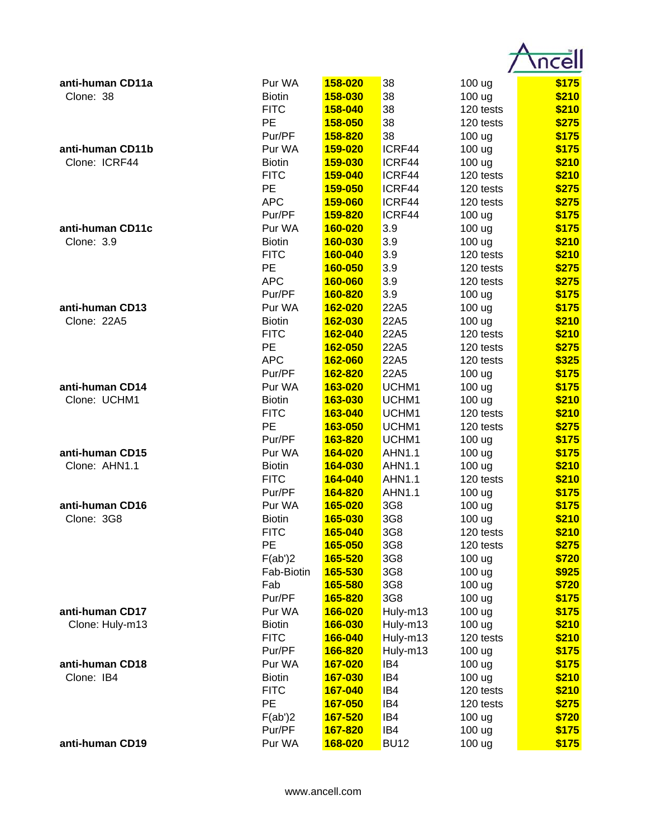| anti-human CD11a | Pur WA        | 158-020 | 38            | 100 ug            | \$175 |
|------------------|---------------|---------|---------------|-------------------|-------|
| Clone: 38        | <b>Biotin</b> | 158-030 | 38            | 100 ug            | \$210 |
|                  | <b>FITC</b>   | 158-040 | 38            | 120 tests         | \$210 |
|                  | <b>PE</b>     | 158-050 | 38            | 120 tests         | \$275 |
|                  | Pur/PF        | 158-820 | 38            | 100 <sub>ug</sub> | \$175 |
| anti-human CD11b | Pur WA        | 159-020 | ICRF44        | 100 ug            | \$175 |
| Clone: ICRF44    | <b>Biotin</b> | 159-030 | ICRF44        | 100 ug            | \$210 |
|                  | <b>FITC</b>   | 159-040 | ICRF44        | 120 tests         | \$210 |
|                  | <b>PE</b>     | 159-050 | ICRF44        | 120 tests         | \$275 |
|                  | <b>APC</b>    | 159-060 | ICRF44        | 120 tests         | \$275 |
|                  | Pur/PF        | 159-820 | ICRF44        | 100 uq            | \$175 |
| anti-human CD11c | Pur WA        | 160-020 | 3.9           | 100 ug            | \$175 |
| Clone: 3.9       | <b>Biotin</b> | 160-030 | 3.9           | 100 ug            | \$210 |
|                  | <b>FITC</b>   | 160-040 | 3.9           | 120 tests         | \$210 |
|                  | PE            | 160-050 | 3.9           | 120 tests         | \$275 |
|                  | <b>APC</b>    | 160-060 | 3.9           | 120 tests         | \$275 |
|                  | Pur/PF        | 160-820 | 3.9           | 100 ug            | \$175 |
| anti-human CD13  | Pur WA        | 162-020 | 22A5          | 100 ug            | \$175 |
| Clone: 22A5      | <b>Biotin</b> | 162-030 | 22A5          | 100 uq            | \$210 |
|                  | <b>FITC</b>   | 162-040 | 22A5          | 120 tests         | \$210 |
|                  | <b>PE</b>     | 162-050 | 22A5          | 120 tests         | \$275 |
|                  | <b>APC</b>    | 162-060 | 22A5          | 120 tests         | \$325 |
|                  | Pur/PF        | 162-820 | 22A5          | 100 uq            | \$175 |
| anti-human CD14  | Pur WA        | 163-020 | UCHM1         | 100 <sub>ug</sub> | \$175 |
| Clone: UCHM1     | <b>Biotin</b> | 163-030 | UCHM1         | 100 ug            | \$210 |
|                  | <b>FITC</b>   | 163-040 | UCHM1         | 120 tests         | \$210 |
|                  | PE            | 163-050 | UCHM1         | 120 tests         | \$275 |
|                  | Pur/PF        | 163-820 | UCHM1         | 100 <sub>ug</sub> | \$175 |
| anti-human CD15  | Pur WA        | 164-020 | <b>AHN1.1</b> | 100 ug            | \$175 |
| Clone: AHN1.1    | <b>Biotin</b> | 164-030 | <b>AHN1.1</b> | 100 ug            | \$210 |
|                  | <b>FITC</b>   | 164-040 | <b>AHN1.1</b> | 120 tests         | \$210 |
|                  | Pur/PF        | 164-820 | <b>AHN1.1</b> | 100 ug            | \$175 |
| anti-human CD16  | Pur WA        | 165-020 | 3G8           | 100 ug            | \$175 |
| Clone: 3G8       | <b>Biotin</b> | 165-030 | 3G8           | 100 ug            | \$210 |
|                  | <b>FITC</b>   | 165-040 | 3G8           | 120 tests         | \$210 |
|                  | PE            | 165-050 | 3G8           | 120 tests         | \$275 |
|                  | F(ab')2       | 165-520 | 3G8           | 100 ug            | \$720 |
|                  | Fab-Biotin    | 165-530 | 3G8           | 100 ug            | \$925 |
|                  | Fab           | 165-580 | 3G8           | 100 ug            | \$720 |
|                  | Pur/PF        | 165-820 | 3G8           | 100 ug            | \$175 |
| anti-human CD17  | Pur WA        | 166-020 | Huly-m13      | 100 ug            | \$175 |
| Clone: Huly-m13  | <b>Biotin</b> | 166-030 | Huly-m13      | 100 ug            | \$210 |
|                  | <b>FITC</b>   | 166-040 | Huly-m13      | 120 tests         | \$210 |
|                  | Pur/PF        | 166-820 | Huly-m13      | 100 ug            | \$175 |
| anti-human CD18  | Pur WA        | 167-020 | IB4           | 100 ug            | \$175 |
| Clone: IB4       | <b>Biotin</b> | 167-030 | IB4           | 100 ug            | \$210 |
|                  | <b>FITC</b>   | 167-040 | IB4           | 120 tests         | \$210 |
|                  | <b>PE</b>     | 167-050 | IB4           | 120 tests         | \$275 |
|                  | F(ab')2       | 167-520 | IB4           | 100 ug            | \$720 |
|                  | Pur/PF        | 167-820 | IB4           | 100 ug            | \$175 |
| anti-human CD19  | Pur WA        | 168-020 | <b>BU12</b>   | 100 ug            | \$175 |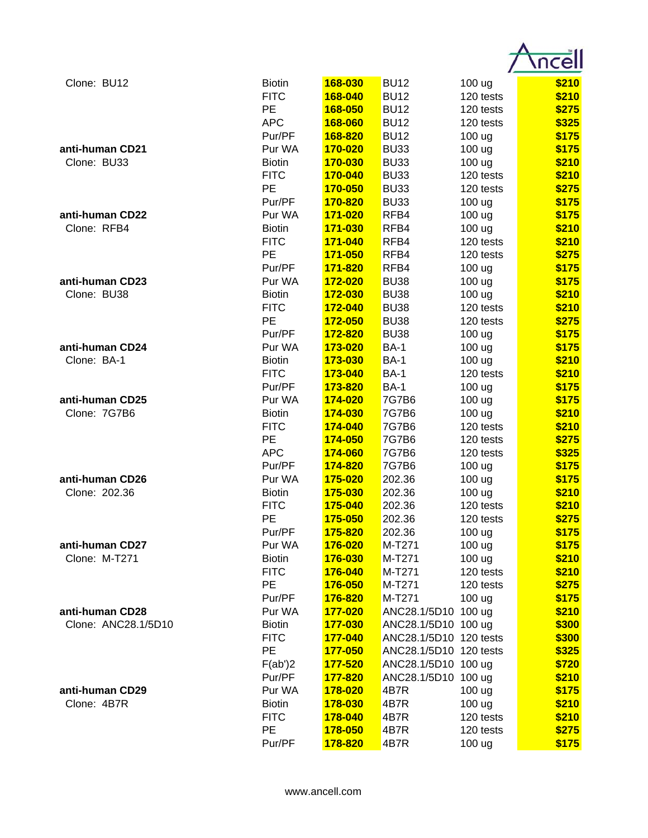| Clone: BU12         | <b>Biotin</b>           | 168-030            | <b>BU12</b>            | 100 ug              | \$210          |
|---------------------|-------------------------|--------------------|------------------------|---------------------|----------------|
|                     | <b>FITC</b>             | 168-040            | <b>BU12</b>            | 120 tests           | \$210          |
|                     | PE                      | 168-050            | <b>BU12</b>            | 120 tests           | \$275          |
|                     | <b>APC</b>              | 168-060            | <b>BU12</b>            | 120 tests           | \$325          |
|                     | Pur/PF                  | 168-820            | <b>BU12</b>            | 100 ug              | \$175          |
| anti-human CD21     | Pur WA                  | 170-020            | <b>BU33</b>            | 100 ug              | \$175          |
| Clone: BU33         | <b>Biotin</b>           | 170-030            | <b>BU33</b>            | 100 ug              | \$210          |
|                     | <b>FITC</b>             | 170-040            | <b>BU33</b>            | 120 tests           | \$210          |
|                     | PE                      | 170-050            | <b>BU33</b>            | 120 tests           | \$275          |
|                     | Pur/PF                  | 170-820            | <b>BU33</b>            | 100 ug              | \$175          |
| anti-human CD22     | Pur WA                  | 171-020            | RFB4                   | 100 ug              | \$175          |
| Clone: RFB4         | <b>Biotin</b>           | 171-030            | RFB4                   | 100 ug              | \$210          |
|                     | <b>FITC</b>             | 171-040            | RFB4                   | 120 tests           | \$210          |
|                     | PE                      | 171-050            | RFB4                   | 120 tests           | \$275          |
|                     | Pur/PF                  | 171-820            | RFB4                   | 100 ug              | \$175          |
| anti-human CD23     | Pur WA                  | 172-020            | <b>BU38</b>            | 100 ug              | \$175          |
| Clone: BU38         | <b>Biotin</b>           | 172-030            | <b>BU38</b>            | 100 ug              | \$210          |
|                     | <b>FITC</b>             | 172-040            | <b>BU38</b>            | 120 tests           | \$210          |
|                     | PE                      | 172-050            | <b>BU38</b>            | 120 tests           | \$275          |
|                     | Pur/PF                  | 172-820            | <b>BU38</b>            | 100 ug              | \$175          |
| anti-human CD24     | Pur WA                  | 173-020            | <b>BA-1</b>            | 100 ug              | \$175          |
| Clone: BA-1         | <b>Biotin</b>           | 173-030            | <b>BA-1</b>            | 100 ug              | \$210          |
|                     | <b>FITC</b>             | 173-040            | <b>BA-1</b>            | 120 tests           | \$210          |
|                     | Pur/PF                  | 173-820            | <b>BA-1</b>            | 100 ug              | \$175          |
| anti-human CD25     | Pur WA                  | 174-020            | 7G7B6                  | 100 ug              | \$175          |
| Clone: 7G7B6        | <b>Biotin</b>           | 174-030            | 7G7B6                  | 100 ug              | \$210          |
|                     | <b>FITC</b>             | 174-040            | 7G7B6                  | 120 tests           | \$210          |
|                     | PE                      | 174-050            | 7G7B6                  | 120 tests           | \$275          |
|                     | <b>APC</b>              | 174-060            | 7G7B6                  | 120 tests           | \$325          |
|                     | Pur/PF                  | 174-820            | 7G7B6                  | 100 ug              | \$175          |
| anti-human CD26     | Pur WA                  | 175-020            | 202.36                 | 100 ug              | \$175          |
| Clone: 202.36       | <b>Biotin</b>           | 175-030            | 202.36                 | 100 ug              | \$210          |
|                     | <b>FITC</b>             | 175-040            | 202.36                 | 120 tests           | \$210          |
|                     | PЕ                      | <u>175-050</u>     | 202.36                 | 120 tests           | \$275          |
| anti-human CD27     | Pur/PF                  | 175-820            | 202.36                 | 100 ug              | \$175          |
| Clone: M-T271       | Pur WA<br><b>Biotin</b> | 176-020<br>176-030 | M-T271<br>M-T271       | 100 ug              | \$175<br>\$210 |
|                     | <b>FITC</b>             | 176-040            | M-T271                 | 100 ug<br>120 tests | \$210          |
|                     | <b>PE</b>               | 176-050            | M-T271                 | 120 tests           | \$275          |
|                     | Pur/PF                  | 176-820            | M-T271                 | 100 ug              | \$175          |
| anti-human CD28     | Pur WA                  | 177-020            | ANC28.1/5D10 100 ug    |                     | \$210          |
| Clone: ANC28.1/5D10 | <b>Biotin</b>           | 177-030            | ANC28.1/5D10 100 ug    |                     | \$300          |
|                     | <b>FITC</b>             | 177-040            | ANC28.1/5D10 120 tests |                     | \$300          |
|                     | PE                      | 177-050            | ANC28.1/5D10 120 tests |                     | \$325          |
|                     | F(ab')2                 | 177-520            | ANC28.1/5D10 100 ug    |                     | \$720          |
|                     | Pur/PF                  | 177-820            | ANC28.1/5D10 100 ug    |                     | \$210          |
| anti-human CD29     | Pur WA                  | 178-020            | 4B7R                   | 100 <sub>ug</sub>   | \$175          |
| Clone: 4B7R         | <b>Biotin</b>           | 178-030            | 4B7R                   | 100 <sub>ug</sub>   | \$210          |
|                     | <b>FITC</b>             | 178-040            | 4B7R                   | 120 tests           | \$210          |
|                     | PE                      | 178-050            | 4B7R                   | 120 tests           | \$275          |
|                     | Pur/PF                  | 178-820            | 4B7R                   | 100 ug              | \$175          |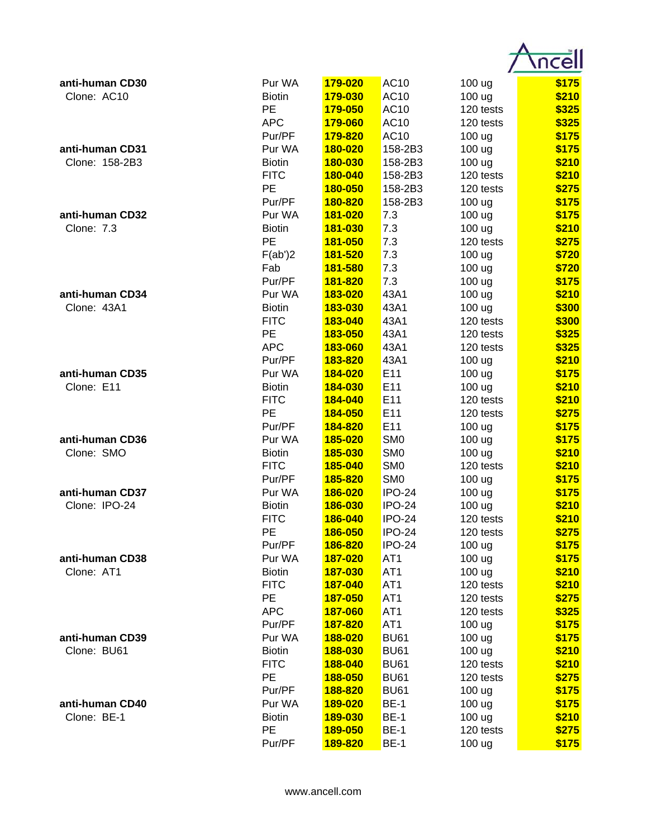| anti-human CD30 | Pur WA            | 179-020                   | <b>AC10</b>     | 100 ug              | \$175          |
|-----------------|-------------------|---------------------------|-----------------|---------------------|----------------|
| Clone: AC10     | <b>Biotin</b>     | 179-030                   | <b>AC10</b>     | 100 ug              | \$210          |
|                 | PE                | 179-050                   | AC10            | 120 tests           | \$325          |
|                 | <b>APC</b>        | 179-060                   | AC10            | 120 tests           | \$325          |
|                 | Pur/PF            | 179-820                   | AC10            | 100 <sub>ug</sub>   | \$175          |
| anti-human CD31 | Pur WA            | 180-020                   | 158-2B3         | 100 ug              | \$175          |
| Clone: 158-2B3  | <b>Biotin</b>     | 180-030                   | 158-2B3         | 100 ug              | \$210          |
|                 | <b>FITC</b>       | 180-040                   | 158-2B3         | 120 tests           | \$210          |
|                 | PE                | 180-050                   | 158-2B3         | 120 tests           | \$275          |
|                 | Pur/PF            | 180-820                   | 158-2B3         | 100 ug              | \$175          |
| anti-human CD32 | Pur WA            | 181-020                   | 7.3             | 100 ug              | \$175          |
| Clone: 7.3      | <b>Biotin</b>     | 181-030                   | 7.3             | 100 ug              | \$210          |
|                 | PE                | 181-050                   | 7.3             | 120 tests           | \$275          |
|                 | F(ab')2           | 181-520                   | 7.3             | 100 ug              | \$720          |
|                 | Fab               | 181-580                   | 7.3             | 100 ug              | \$720          |
|                 | Pur/PF            | 181-820                   | 7.3             | 100 ug              | \$175          |
| anti-human CD34 | Pur WA            | 183-020                   | 43A1            | 100 ug              | \$210          |
| Clone: 43A1     | <b>Biotin</b>     | 183-030                   | 43A1            | 100 ug              | \$300          |
|                 | <b>FITC</b>       | 183-040                   | 43A1            | 120 tests           | \$300          |
|                 | PE                | 183-050                   | 43A1            | 120 tests           | \$325          |
|                 | <b>APC</b>        | 183-060                   | 43A1            | 120 tests           | \$325          |
|                 | Pur/PF            | 183-820                   | 43A1            | 100 ug              | \$210          |
| anti-human CD35 | Pur WA            | 184-020                   | E11             | 100 ug              | \$175          |
| Clone: E11      | <b>Biotin</b>     | 184-030                   | E <sub>11</sub> | 100 ug              | \$210          |
|                 | <b>FITC</b>       | 184-040                   | E11             | 120 tests           | \$210          |
|                 | PE                | 184-050                   | E11             | 120 tests           | \$275          |
|                 | Pur/PF            | 184-820                   | E11             | 100 ug              | \$175          |
| anti-human CD36 | Pur WA            | 185-020                   | SM <sub>0</sub> | 100 ug              | \$175          |
| Clone: SMO      | <b>Biotin</b>     | 185-030                   | SM <sub>0</sub> | 100 ug              | \$210          |
|                 | <b>FITC</b>       | 185-040                   | SM <sub>0</sub> | 120 tests           | \$210          |
|                 | Pur/PF            | 185-820                   | SM <sub>0</sub> | 100 ug              | \$175          |
| anti-human CD37 | Pur WA            | 186-020                   | <b>IPO-24</b>   | 100 ug              | \$175          |
| Clone: IPO-24   | <b>Biotin</b>     | 186-030                   | <b>IPO-24</b>   | 100 ug              | \$210          |
|                 | <b>FITC</b>       |                           | <b>IPO-24</b>   |                     | \$210          |
|                 | PE                | <u>186-040</u><br>186-050 | <b>IPO-24</b>   | 120 tests           | \$275          |
|                 | Pur/PF            | 186-820                   | <b>IPO-24</b>   | 120 tests<br>100 ug | \$175          |
| anti-human CD38 | Pur WA            | 187-020                   | AT <sub>1</sub> | 100 ug              | \$175          |
| Clone: AT1      | <b>Biotin</b>     | 187-030                   | AT <sub>1</sub> | 100 ug              | \$210          |
|                 | <b>FITC</b>       | 187-040                   | AT <sub>1</sub> |                     |                |
|                 | <b>PE</b>         |                           | AT <sub>1</sub> | 120 tests           | \$210          |
|                 | <b>APC</b>        | 187-050<br>187-060        |                 | 120 tests           | \$275<br>\$325 |
|                 | Pur/PF            |                           | AT <sub>1</sub> | 120 tests           |                |
| anti-human CD39 |                   | 187-820                   | AT <sub>1</sub> | 100 ug              | \$175          |
|                 | Pur WA            | 188-020                   | <b>BU61</b>     | 100 ug              | \$175          |
| Clone: BU61     | <b>Biotin</b>     | 188-030                   | <b>BU61</b>     | 100 ug              | \$210          |
|                 | <b>FITC</b><br>PE | 188-040                   | <b>BU61</b>     | 120 tests           | \$210          |
|                 |                   | 188-050                   | <b>BU61</b>     | 120 tests           | \$275          |
|                 | Pur/PF            | 188-820                   | <b>BU61</b>     | 100 ug              | \$175          |
| anti-human CD40 | Pur WA            | 189-020                   | <b>BE-1</b>     | 100 ug              | \$175          |
| Clone: BE-1     | <b>Biotin</b>     | 189-030                   | <b>BE-1</b>     | 100 ug              | \$210          |
|                 | PE                | 189-050                   | <b>BE-1</b>     | 120 tests           | \$275          |
|                 | Pur/PF            | <b>189-820</b>            | <b>BE-1</b>     | 100 ug              | \$175          |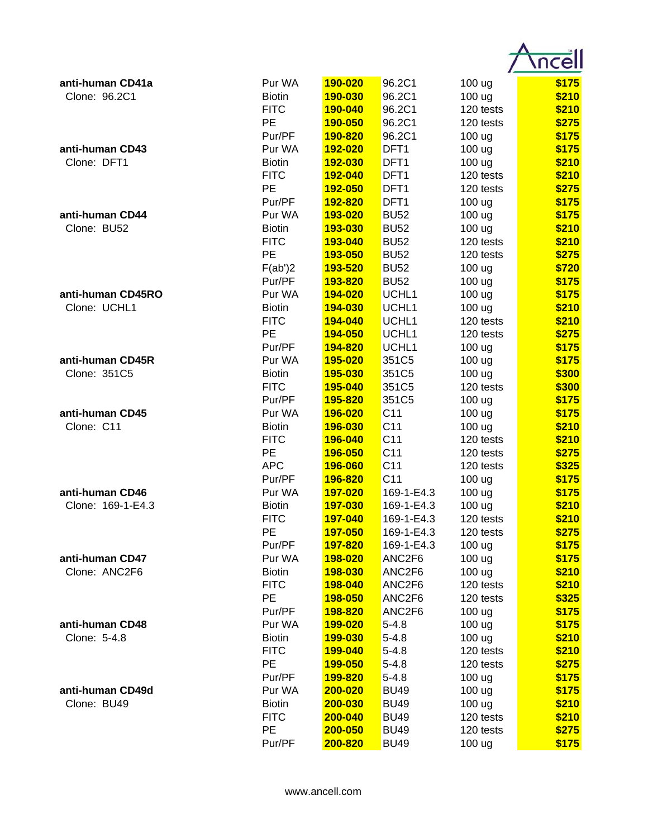| anti-human CD41a  | Pur WA        | 190-020                   | 96.2C1                   | 100 ug              | \$175          |
|-------------------|---------------|---------------------------|--------------------------|---------------------|----------------|
| Clone: 96.2C1     | <b>Biotin</b> | 190-030                   | 96.2C1                   | 100 ug              | \$210          |
|                   | <b>FITC</b>   | 190-040                   | 96.2C1                   | 120 tests           | \$210          |
|                   | PE            | 190-050                   | 96.2C1                   | 120 tests           | \$275          |
|                   | Pur/PF        | 190-820                   | 96.2C1                   | 100 ug              | \$175          |
| anti-human CD43   | Pur WA        | 192-020                   | DFT1                     | 100 ug              | \$175          |
| Clone: DFT1       | <b>Biotin</b> | 192-030                   | DFT1                     | 100 ug              | \$210          |
|                   | <b>FITC</b>   | 192-040                   | DFT1                     | 120 tests           | \$210          |
|                   | PE            | 192-050                   | DFT <sub>1</sub>         | 120 tests           | \$275          |
|                   | Pur/PF        | 192-820                   | DFT <sub>1</sub>         | 100 ug              | \$175          |
| anti-human CD44   | Pur WA        | 193-020                   | <b>BU52</b>              | 100 ug              | \$175          |
| Clone: BU52       | <b>Biotin</b> | 193-030                   | <b>BU52</b>              | 100 ug              | \$210          |
|                   | <b>FITC</b>   | 193-040                   | <b>BU52</b>              | 120 tests           | \$210          |
|                   | PE            | 193-050                   | <b>BU52</b>              | 120 tests           | \$275          |
|                   | F(ab')2       | 193-520                   | <b>BU52</b>              | 100 ug              | \$720          |
|                   | Pur/PF        | 193-820                   | <b>BU52</b>              | 100 ug              | \$175          |
| anti-human CD45RO | Pur WA        | 194-020                   | UCHL1                    | 100 ug              | \$175          |
| Clone: UCHL1      | <b>Biotin</b> | 194-030                   | UCHL1                    | 100 ug              | \$210          |
|                   | <b>FITC</b>   | 194-040                   | UCHL1                    | 120 tests           | \$210          |
|                   | PE            | 194-050                   | UCHL1                    | 120 tests           | \$275          |
|                   | Pur/PF        | 194-820                   | UCHL1                    | 100 ug              | \$175          |
| anti-human CD45R  | Pur WA        | 195-020                   | 351C5                    | 100 ug              | \$175          |
| Clone: 351C5      | <b>Biotin</b> | 195-030                   | 351C5                    | 100 ug              | \$300          |
|                   | <b>FITC</b>   | 195-040                   | 351C5                    | 120 tests           | \$300          |
|                   | Pur/PF        | 195-820                   | 351C5                    | 100 ug              | \$175          |
| anti-human CD45   | Pur WA        | 196-020                   | C <sub>11</sub>          | 100 ug              | \$175          |
| Clone: C11        | <b>Biotin</b> | 196-030                   | C <sub>11</sub>          | 100 ug              | \$210          |
|                   | <b>FITC</b>   | 196-040                   | C <sub>11</sub>          | 120 tests           | \$210          |
|                   | PE            | 196-050                   | C <sub>11</sub>          | 120 tests           | \$275          |
|                   | <b>APC</b>    | 196-060                   | C <sub>11</sub>          | 120 tests           | \$325          |
|                   | Pur/PF        | 196-820                   | C <sub>11</sub>          | 100 ug              | \$175          |
| anti-human CD46   | Pur WA        | 197-020                   | 169-1-E4.3               |                     | \$175          |
| Clone: 169-1-E4.3 | <b>Biotin</b> | 197-030                   | 169-1-E4.3               | 100 ug              | \$210          |
|                   | <b>FITC</b>   | 197-040                   | 169-1-E4.3               | 100 ug<br>120 tests | \$210          |
|                   | PE            |                           |                          |                     |                |
|                   | Pur/PF        | <b>197-050</b><br>197-820 | 169-1-E4.3<br>169-1-E4.3 | 120 tests           | \$275<br>\$175 |
| anti-human CD47   | Pur WA        | 198-020                   | ANC2F6                   | 100 ug              |                |
| Clone: ANC2F6     |               |                           |                          | 100 ug              | \$175          |
|                   | <b>Biotin</b> | 198-030                   | ANC2F6                   | 100 ug              | \$210          |
|                   | <b>FITC</b>   | 198-040                   | ANC2F6                   | 120 tests           | \$210          |
|                   | PE            | 198-050                   | ANC2F6                   | 120 tests           | \$325          |
|                   | Pur/PF        | 198-820                   | ANC2F6                   | 100 ug              | \$175          |
| anti-human CD48   | Pur WA        | 199-020                   | $5 - 4.8$                | 100 ug              | \$175          |
| Clone: 5-4.8      | <b>Biotin</b> | 199-030                   | $5 - 4.8$                | 100 ug              | \$210          |
|                   | <b>FITC</b>   | 199-040                   | $5 - 4.8$                | 120 tests           | \$210          |
|                   | PE            | <b>199-050</b>            | $5 - 4.8$                | 120 tests           | \$275          |
|                   | Pur/PF        | 199-820                   | $5 - 4.8$                | 100 ug              | \$175          |
| anti-human CD49d  | Pur WA        | 200-020                   | <b>BU49</b>              | 100 ug              | \$175          |
| Clone: BU49       | <b>Biotin</b> | 200-030                   | <b>BU49</b>              | 100 ug              | \$210          |
|                   | <b>FITC</b>   | 200-040                   | <b>BU49</b>              | 120 tests           | \$210          |
|                   | PE            | 200-050                   | <b>BU49</b>              | 120 tests           | \$275          |
|                   | Pur/PF        | 200-820                   | <b>BU49</b>              | 100 ug              | \$175          |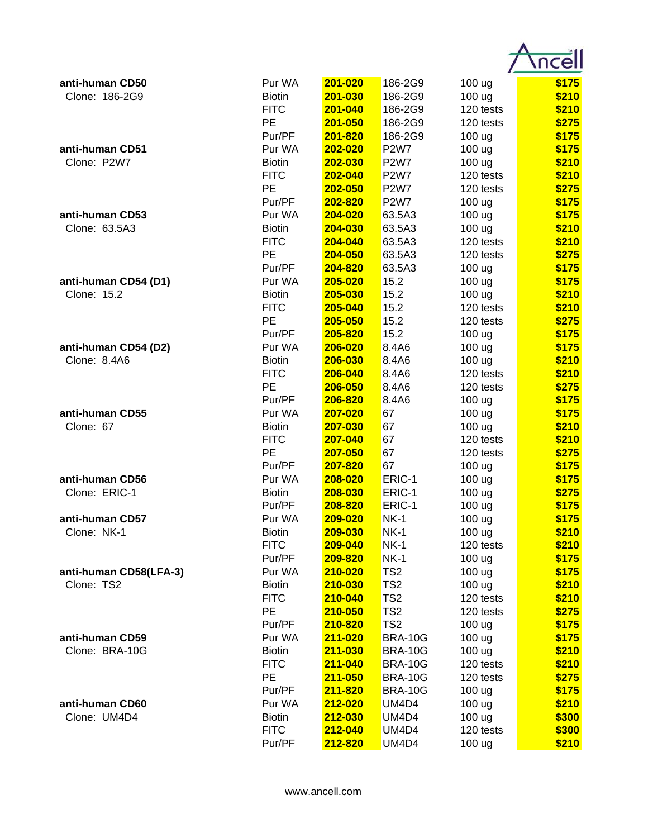| anti-human CD50        | Pur WA            | 201-020            | 186-2G9                        | 100 ug           | \$175          |
|------------------------|-------------------|--------------------|--------------------------------|------------------|----------------|
| Clone: 186-2G9         | <b>Biotin</b>     | 201-030            | 186-2G9                        | 100 ug           | \$210          |
|                        | <b>FITC</b>       | 201-040            | 186-2G9                        | 120 tests        | \$210          |
|                        | PE                | 201-050            | 186-2G9                        | 120 tests        | \$275          |
|                        | Pur/PF            | 201-820            | 186-2G9                        | 100 ug           | \$175          |
| anti-human CD51        | Pur WA            | 202-020            | <b>P2W7</b>                    | 100 ug           | \$175          |
| Clone: P2W7            | <b>Biotin</b>     | 202-030            | <b>P2W7</b>                    | 100 ug           | \$210          |
|                        | <b>FITC</b>       | 202-040            | <b>P2W7</b>                    | 120 tests        | \$210          |
|                        | PE                | 202-050            | <b>P2W7</b>                    | 120 tests        | \$275          |
|                        | Pur/PF            | 202-820            | <b>P2W7</b>                    | 100 ug           | \$175          |
| anti-human CD53        | Pur WA            | 204-020            | 63.5A3                         | 100 ug           | \$175          |
| Clone: 63.5A3          | <b>Biotin</b>     | 204-030            | 63.5A3                         | 100 ug           | \$210          |
|                        | <b>FITC</b>       | 204-040            | 63.5A3                         | 120 tests        | \$210          |
|                        | PE                | 204-050            | 63.5A3                         | 120 tests        | \$275          |
|                        | Pur/PF            | 204-820            | 63.5A3                         | 100 ug           | \$175          |
| anti-human CD54 (D1)   | Pur WA            | 205-020            | 15.2                           | 100 ug           | \$175          |
| Clone: 15.2            | <b>Biotin</b>     | 205-030            | 15.2                           | 100 ug           | \$210          |
|                        | <b>FITC</b><br>PE | 205-040            | 15.2                           | 120 tests        | \$210          |
|                        | Pur/PF            | 205-050<br>205-820 | 15.2<br>15.2                   | 120 tests        | \$275<br>\$175 |
| anti-human CD54 (D2)   | Pur WA            | 206-020            | 8.4A6                          | 100 ug<br>100 ug | \$175          |
| Clone: 8.4A6           | <b>Biotin</b>     | 206-030            | 8.4A6                          | 100 ug           | \$210          |
|                        | <b>FITC</b>       | 206-040            | 8.4A6                          | 120 tests        | \$210          |
|                        | <b>PE</b>         | 206-050            | 8.4A6                          | 120 tests        | \$275          |
|                        | Pur/PF            | 206-820            | 8.4A6                          | 100 ug           | \$175          |
| anti-human CD55        | Pur WA            | 207-020            | 67                             | 100 ug           | \$175          |
| Clone: 67              | <b>Biotin</b>     | 207-030            | 67                             | 100 ug           | \$210          |
|                        | <b>FITC</b>       | 207-040            | 67                             | 120 tests        | \$210          |
|                        | PE                | 207-050            | 67                             | 120 tests        | \$275          |
|                        | Pur/PF            | 207-820            | 67                             | 100 ug           | \$175          |
| anti-human CD56        | Pur WA            | 208-020            | ERIC-1                         | 100 ug           | \$175          |
| Clone: ERIC-1          | <b>Biotin</b>     | 208-030            | ERIC-1                         | 100 ug           | \$275          |
|                        | Pur/PF            | 208-820            | ERIC-1                         | 100 ug           | \$175          |
| anti-human CD57        | Pur WA            | <b>209-020</b>     | <b>NK-1</b>                    | 100 ug           | \$175          |
| Clone: NK-1            | <b>Biotin</b>     | 209-030            | <b>NK-1</b>                    | 100 ug           | \$210          |
|                        | <b>FITC</b>       | 209-040            | <b>NK-1</b>                    | 120 tests        | \$210          |
|                        | Pur/PF            | 209-820            | <b>NK-1</b>                    | 100 ug           | \$175          |
| anti-human CD58(LFA-3) | Pur WA            | 210-020            | TS <sub>2</sub>                | 100 ug           | \$175          |
| Clone: TS2             | <b>Biotin</b>     | 210-030            | TS <sub>2</sub>                | 100 ug           | \$210          |
|                        | <b>FITC</b>       | 210-040            | TS <sub>2</sub>                | 120 tests        | \$210          |
|                        | PE                | 210-050            | TS <sub>2</sub>                | 120 tests        | \$275          |
|                        | Pur/PF            | 210-820            | TS <sub>2</sub>                | 100 ug           | \$175          |
| anti-human CD59        | Pur WA            | 211-020            | <b>BRA-10G</b>                 | 100 ug           | \$175          |
| Clone: BRA-10G         | <b>Biotin</b>     | 211-030            | <b>BRA-10G</b>                 | 100 ug           | \$210          |
|                        | <b>FITC</b>       | 211-040            | <b>BRA-10G</b>                 | 120 tests        | \$210          |
|                        | PE                | 211-050            | <b>BRA-10G</b>                 | 120 tests        | \$275          |
| anti-human CD60        | Pur/PF<br>Pur WA  | 211-820<br>212-020 | <b>BRA-10G</b><br><b>UM4D4</b> | 100 ug           | \$175          |
| Clone: UM4D4           | <b>Biotin</b>     | 212-030            | <b>UM4D4</b>                   | 100 ug<br>100 ug | \$210<br>\$300 |
|                        | <b>FITC</b>       | 212-040            | UM4D4                          | 120 tests        | \$300          |
|                        | Pur/PF            | 212-820            | UM4D4                          | 100 ug           | \$210          |
|                        |                   |                    |                                |                  |                |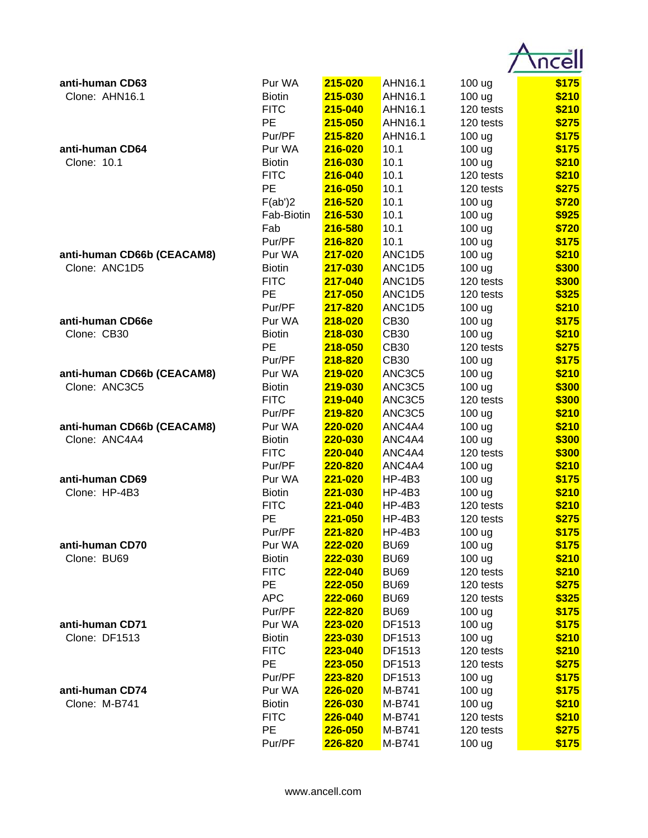| anti-human CD63            | Pur WA           | 215-020            | AHN16.1                         | 100 ug            | \$175          |
|----------------------------|------------------|--------------------|---------------------------------|-------------------|----------------|
| Clone: AHN16.1             | <b>Biotin</b>    | 215-030            | AHN16.1                         | 100 ug            | \$210          |
|                            | <b>FITC</b>      | 215-040            | AHN16.1                         | 120 tests         | \$210          |
|                            | <b>PE</b>        | 215-050            | AHN16.1                         | 120 tests         | \$275          |
|                            | Pur/PF           | 215-820            | AHN16.1                         | 100 ug            | \$175          |
| anti-human CD64            | Pur WA           | 216-020            | 10.1                            | 100 ug            | \$175          |
| Clone: 10.1                | <b>Biotin</b>    | 216-030            | 10.1                            | 100 ug            | \$210          |
|                            | <b>FITC</b>      | 216-040            | 10.1                            | 120 tests         | \$210          |
|                            | PE               | 216-050            | 10.1                            | 120 tests         | \$275          |
|                            | F(ab')2          | 216-520            | 10.1                            | 100 ug            | \$720          |
|                            | Fab-Biotin       | 216-530            | 10.1                            | 100 ug            | \$925          |
|                            | Fab              | 216-580            | 10.1                            | 100 ug            | \$720          |
|                            | Pur/PF           | 216-820            | 10.1                            | 100 ug            | \$175          |
| anti-human CD66b (CEACAM8) | Pur WA           | 217-020            | ANC <sub>1</sub> D <sub>5</sub> | 100 ug            | \$210          |
| Clone: ANC1D5              | <b>Biotin</b>    | 217-030            | ANC <sub>1</sub> D <sub>5</sub> | 100 ug            | \$300          |
|                            | <b>FITC</b>      | 217-040            | ANC1D5                          | 120 tests         | \$300          |
|                            | <b>PE</b>        | 217-050            | ANC <sub>1</sub> D <sub>5</sub> | 120 tests         | \$325          |
|                            | Pur/PF           | 217-820            | ANC <sub>1</sub> D <sub>5</sub> | 100 ug            | \$210          |
| anti-human CD66e           | Pur WA           | 218-020            | <b>CB30</b>                     | 100 ug            | \$175          |
| Clone: CB30                | <b>Biotin</b>    | 218-030            | <b>CB30</b>                     | 100 <sub>ug</sub> | \$210          |
|                            | <b>PE</b>        | 218-050            | <b>CB30</b>                     | 120 tests         | \$275          |
|                            | Pur/PF           | 218-820            | <b>CB30</b>                     | 100 ug            | \$175          |
| anti-human CD66b (CEACAM8) | Pur WA           | 219-020            | ANC3C5                          | 100 ug            | \$210          |
| Clone: ANC3C5              | <b>Biotin</b>    | 219-030            | ANC3C5                          | 100 ug            | \$300          |
|                            | <b>FITC</b>      | 219-040            | ANC3C5                          | 120 tests         | \$300          |
|                            | Pur/PF           | 219-820            | ANC3C5                          | 100 ug            | \$210          |
| anti-human CD66b (CEACAM8) | Pur WA           | 220-020            | ANC4A4                          | 100 ug            | \$210          |
| Clone: ANC4A4              | <b>Biotin</b>    | 220-030            | ANC4A4                          | 100 ug            | \$300          |
|                            | <b>FITC</b>      | 220-040            | ANC4A4                          | 120 tests         | \$300          |
|                            | Pur/PF           | 220-820            | ANC4A4                          | 100 ug            | \$210          |
| anti-human CD69            | Pur WA           | 221-020            | <b>HP-4B3</b>                   | 100 ug            | \$175          |
| Clone: HP-4B3              | <b>Biotin</b>    | 221-030            | <b>HP-4B3</b>                   | 100 ug            | \$210          |
|                            | <b>FITC</b>      | 221-040            | $HP-4B3$                        | 120 tests         | \$210          |
|                            | РE               | 221-050            | $HP-4B3$<br><b>HP-4B3</b>       | 120 tests         | \$275          |
| anti-human CD70            | Pur/PF<br>Pur WA | 221-820<br>222-020 | <b>BU69</b>                     | 100 ug<br>100 ug  | \$175<br>\$175 |
| Clone: BU69                | <b>Biotin</b>    | 222-030            | <b>BU69</b>                     | 100 ug            | \$210          |
|                            | <b>FITC</b>      | 222-040            | <b>BU69</b>                     | 120 tests         | \$210          |
|                            | PE               | 222-050            | <b>BU69</b>                     | 120 tests         | \$275          |
|                            | <b>APC</b>       | 222-060            | <b>BU69</b>                     | 120 tests         | \$325          |
|                            | Pur/PF           | 222-820            | <b>BU69</b>                     | 100 ug            | \$175          |
| anti-human CD71            | Pur WA           | 223-020            | DF1513                          | 100 ug            | \$175          |
| Clone: DF1513              | <b>Biotin</b>    | 223-030            | DF1513                          | 100 ug            | \$210          |
|                            | <b>FITC</b>      | 223-040            | DF1513                          | 120 tests         | \$210          |
|                            | PE               | 223-050            | DF1513                          | 120 tests         | \$275          |
|                            | Pur/PF           | 223-820            | DF1513                          | 100 ug            | \$175          |
| anti-human CD74            | Pur WA           | 226-020            | M-B741                          | 100 ug            | \$175          |
| Clone: M-B741              | <b>Biotin</b>    | 226-030            | M-B741                          | 100 ug            | \$210          |
|                            | <b>FITC</b>      | 226-040            | M-B741                          | 120 tests         | \$210          |
|                            | PE               | 226-050            | M-B741                          | 120 tests         | \$275          |
|                            | Pur/PF           | 226-820            | M-B741                          | 100 ug            | \$175          |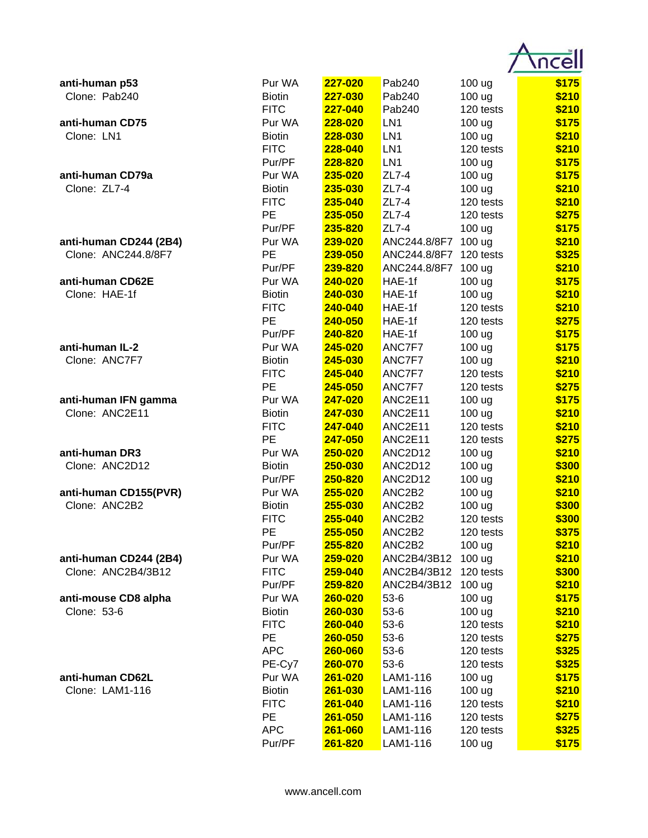| \$175<br>Pur WA<br>227-020<br>anti-human p53<br>Pab240<br>100 ug<br>\$210<br>Clone: Pab240<br>227-030<br><b>Biotin</b><br>Pab240<br>100 ug<br><b>FITC</b><br>Pab240<br>\$210<br>227-040<br>120 tests<br>Pur WA<br>228-020<br>LN <sub>1</sub><br>\$175<br>anti-human CD75<br>100 ug<br>Clone: LN1<br>228-030<br>LN <sub>1</sub><br>\$210<br><b>Biotin</b><br>100 ug<br><b>FITC</b><br>LN <sub>1</sub><br>\$210<br>228-040<br>120 tests<br>Pur/PF<br>228-820<br>LN <sub>1</sub><br>\$175<br>100 ug<br>235-020<br>$ZL7-4$<br>\$175<br>anti-human CD79a<br>Pur WA<br>100 ug<br>Clone: ZL7-4<br>235-030<br>ZL7-4<br>\$210<br><b>Biotin</b><br>100 ug<br><b>FITC</b><br>235-040<br>ZL7-4<br>\$210<br>120 tests<br>$ZL7-4$<br><b>PE</b><br>235-050<br>\$275<br>120 tests<br>$ZL7-4$<br>\$175<br>Pur/PF<br>235-820<br>100 ug<br>239-020<br>ANC244.8/8F7<br>\$210<br>anti-human CD244 (2B4)<br>Pur WA<br>100 <sub>ug</sub><br>Clone: ANC244.8/8F7<br>PE<br>\$325<br>239-050<br>ANC244.8/8F7<br>120 tests<br>ANC244.8/8F7<br>\$210<br>Pur/PF<br>239-820<br>100 ug<br>\$175<br>anti-human CD62E<br>Pur WA<br>240-020<br>HAE-1f<br>100 ug<br>Clone: HAE-1f<br>240-030<br>\$210<br><b>Biotin</b><br>HAE-1f<br>100 ug<br><b>FITC</b><br>HAE-1f<br>\$210<br>240-040<br>120 tests<br>PE<br>240-050<br>HAE-1f<br>\$275<br>120 tests<br>Pur/PF<br>240-820<br>\$175<br>HAE-1f<br>100 ug<br>anti-human IL-2<br>ANC7F7<br>Pur WA<br>245-020<br>100 ug<br>\$175<br>Clone: ANC7F7<br>ANC7F7<br>\$210<br><b>Biotin</b><br>245-030<br>100 ug<br><b>FITC</b><br>245-040<br>ANC7F7<br>\$210<br>120 tests<br><b>PE</b><br>245-050<br>ANC7F7<br>\$275<br>120 tests<br>Pur WA<br>247-020<br>ANC2E11<br>\$175<br>anti-human IFN gamma<br>100 ug<br>Clone: ANC2E11<br>247-030<br>ANC2E11<br>\$210<br><b>Biotin</b><br>100 ug<br><b>FITC</b><br>247-040<br>ANC2E11<br>\$210<br>120 tests<br>PE<br>247-050<br>ANC2E11<br>\$275<br>120 tests<br>anti-human DR3<br>Pur WA<br>250-020<br>ANC2D12<br>\$210<br>100 ug<br>Clone: ANC2D12<br>250-030<br>ANC2D12<br>\$300<br><b>Biotin</b><br>100 ug<br>Pur/PF<br>ANC2D12<br>\$210<br>250-820<br>100 ug<br>255-020<br>ANC2B2<br>anti-human CD155(PVR)<br>Pur WA<br>100 ug<br>\$210<br>Clone: ANC2B2<br>\$300<br>255-030<br>ANC2B2<br>100 ug<br><b>Biotin</b><br><b>FITC</b><br>255-040<br>ANC <sub>2</sub> B <sub>2</sub><br>120 tests<br>\$300<br>PE<br>ANC2B2<br>\$375<br>255-050<br>120 tests<br>ANC2B2<br>\$210<br>Pur/PF<br>255-820<br>100 ug<br>\$210<br>anti-human CD244 (2B4)<br>ANC2B4/3B12<br>100 ug<br>Pur WA<br>259-020<br>Clone: ANC2B4/3B12<br><b>FITC</b><br>259-040<br>ANC2B4/3B12<br>120 tests<br>\$300<br>ANC2B4/3B12<br>Pur/PF<br>259-820<br>100 <sub>ug</sub><br>\$210<br>anti-mouse CD8 alpha<br>260-020<br>$53-6$<br>100 ug<br>\$175<br>Pur WA<br>Clone: 53-6<br>$53-6$<br>\$210<br><b>Biotin</b><br>260-030<br>100 ug<br><b>FITC</b><br>\$210<br>260-040<br>$53-6$<br>120 tests<br>PE<br>\$275<br>260-050<br>$53-6$<br>120 tests<br><b>APC</b><br>260-060<br>$53-6$<br>120 tests<br>\$325<br>\$325<br>PE-Cy7<br>$53-6$<br>120 tests<br>260-070<br>anti-human CD62L<br>Pur WA<br>261-020<br>LAM1-116<br>100 ug<br>\$175<br>Clone: LAM1-116<br><b>Biotin</b><br>261-030<br>LAM1-116<br>100 ug<br>\$210<br><b>FITC</b><br>LAM1-116<br>120 tests<br>\$210<br>261-040<br>PE<br>\$275<br>LAM1-116<br>120 tests<br>261-050<br><b>APC</b><br>261-060<br>LAM1-116<br>120 tests<br>\$325 |        |         |          |        |       |
|-------------------------------------------------------------------------------------------------------------------------------------------------------------------------------------------------------------------------------------------------------------------------------------------------------------------------------------------------------------------------------------------------------------------------------------------------------------------------------------------------------------------------------------------------------------------------------------------------------------------------------------------------------------------------------------------------------------------------------------------------------------------------------------------------------------------------------------------------------------------------------------------------------------------------------------------------------------------------------------------------------------------------------------------------------------------------------------------------------------------------------------------------------------------------------------------------------------------------------------------------------------------------------------------------------------------------------------------------------------------------------------------------------------------------------------------------------------------------------------------------------------------------------------------------------------------------------------------------------------------------------------------------------------------------------------------------------------------------------------------------------------------------------------------------------------------------------------------------------------------------------------------------------------------------------------------------------------------------------------------------------------------------------------------------------------------------------------------------------------------------------------------------------------------------------------------------------------------------------------------------------------------------------------------------------------------------------------------------------------------------------------------------------------------------------------------------------------------------------------------------------------------------------------------------------------------------------------------------------------------------------------------------------------------------------------------------------------------------------------------------------------------------------------------------------------------------------------------------------------------------------------------------------------------------------------------------------------------------------------------------------------------------------------------------------------------------------------------------------------------------------------------------------------------------------------------------------------------------------------------------------------------------------------------------------------------------------------------------------------------------------------------------------------|--------|---------|----------|--------|-------|
|                                                                                                                                                                                                                                                                                                                                                                                                                                                                                                                                                                                                                                                                                                                                                                                                                                                                                                                                                                                                                                                                                                                                                                                                                                                                                                                                                                                                                                                                                                                                                                                                                                                                                                                                                                                                                                                                                                                                                                                                                                                                                                                                                                                                                                                                                                                                                                                                                                                                                                                                                                                                                                                                                                                                                                                                                                                                                                                                                                                                                                                                                                                                                                                                                                                                                                                                                                                                             |        |         |          |        |       |
|                                                                                                                                                                                                                                                                                                                                                                                                                                                                                                                                                                                                                                                                                                                                                                                                                                                                                                                                                                                                                                                                                                                                                                                                                                                                                                                                                                                                                                                                                                                                                                                                                                                                                                                                                                                                                                                                                                                                                                                                                                                                                                                                                                                                                                                                                                                                                                                                                                                                                                                                                                                                                                                                                                                                                                                                                                                                                                                                                                                                                                                                                                                                                                                                                                                                                                                                                                                                             |        |         |          |        |       |
|                                                                                                                                                                                                                                                                                                                                                                                                                                                                                                                                                                                                                                                                                                                                                                                                                                                                                                                                                                                                                                                                                                                                                                                                                                                                                                                                                                                                                                                                                                                                                                                                                                                                                                                                                                                                                                                                                                                                                                                                                                                                                                                                                                                                                                                                                                                                                                                                                                                                                                                                                                                                                                                                                                                                                                                                                                                                                                                                                                                                                                                                                                                                                                                                                                                                                                                                                                                                             |        |         |          |        |       |
|                                                                                                                                                                                                                                                                                                                                                                                                                                                                                                                                                                                                                                                                                                                                                                                                                                                                                                                                                                                                                                                                                                                                                                                                                                                                                                                                                                                                                                                                                                                                                                                                                                                                                                                                                                                                                                                                                                                                                                                                                                                                                                                                                                                                                                                                                                                                                                                                                                                                                                                                                                                                                                                                                                                                                                                                                                                                                                                                                                                                                                                                                                                                                                                                                                                                                                                                                                                                             |        |         |          |        |       |
|                                                                                                                                                                                                                                                                                                                                                                                                                                                                                                                                                                                                                                                                                                                                                                                                                                                                                                                                                                                                                                                                                                                                                                                                                                                                                                                                                                                                                                                                                                                                                                                                                                                                                                                                                                                                                                                                                                                                                                                                                                                                                                                                                                                                                                                                                                                                                                                                                                                                                                                                                                                                                                                                                                                                                                                                                                                                                                                                                                                                                                                                                                                                                                                                                                                                                                                                                                                                             |        |         |          |        |       |
|                                                                                                                                                                                                                                                                                                                                                                                                                                                                                                                                                                                                                                                                                                                                                                                                                                                                                                                                                                                                                                                                                                                                                                                                                                                                                                                                                                                                                                                                                                                                                                                                                                                                                                                                                                                                                                                                                                                                                                                                                                                                                                                                                                                                                                                                                                                                                                                                                                                                                                                                                                                                                                                                                                                                                                                                                                                                                                                                                                                                                                                                                                                                                                                                                                                                                                                                                                                                             |        |         |          |        |       |
|                                                                                                                                                                                                                                                                                                                                                                                                                                                                                                                                                                                                                                                                                                                                                                                                                                                                                                                                                                                                                                                                                                                                                                                                                                                                                                                                                                                                                                                                                                                                                                                                                                                                                                                                                                                                                                                                                                                                                                                                                                                                                                                                                                                                                                                                                                                                                                                                                                                                                                                                                                                                                                                                                                                                                                                                                                                                                                                                                                                                                                                                                                                                                                                                                                                                                                                                                                                                             |        |         |          |        |       |
|                                                                                                                                                                                                                                                                                                                                                                                                                                                                                                                                                                                                                                                                                                                                                                                                                                                                                                                                                                                                                                                                                                                                                                                                                                                                                                                                                                                                                                                                                                                                                                                                                                                                                                                                                                                                                                                                                                                                                                                                                                                                                                                                                                                                                                                                                                                                                                                                                                                                                                                                                                                                                                                                                                                                                                                                                                                                                                                                                                                                                                                                                                                                                                                                                                                                                                                                                                                                             |        |         |          |        |       |
|                                                                                                                                                                                                                                                                                                                                                                                                                                                                                                                                                                                                                                                                                                                                                                                                                                                                                                                                                                                                                                                                                                                                                                                                                                                                                                                                                                                                                                                                                                                                                                                                                                                                                                                                                                                                                                                                                                                                                                                                                                                                                                                                                                                                                                                                                                                                                                                                                                                                                                                                                                                                                                                                                                                                                                                                                                                                                                                                                                                                                                                                                                                                                                                                                                                                                                                                                                                                             |        |         |          |        |       |
|                                                                                                                                                                                                                                                                                                                                                                                                                                                                                                                                                                                                                                                                                                                                                                                                                                                                                                                                                                                                                                                                                                                                                                                                                                                                                                                                                                                                                                                                                                                                                                                                                                                                                                                                                                                                                                                                                                                                                                                                                                                                                                                                                                                                                                                                                                                                                                                                                                                                                                                                                                                                                                                                                                                                                                                                                                                                                                                                                                                                                                                                                                                                                                                                                                                                                                                                                                                                             |        |         |          |        |       |
|                                                                                                                                                                                                                                                                                                                                                                                                                                                                                                                                                                                                                                                                                                                                                                                                                                                                                                                                                                                                                                                                                                                                                                                                                                                                                                                                                                                                                                                                                                                                                                                                                                                                                                                                                                                                                                                                                                                                                                                                                                                                                                                                                                                                                                                                                                                                                                                                                                                                                                                                                                                                                                                                                                                                                                                                                                                                                                                                                                                                                                                                                                                                                                                                                                                                                                                                                                                                             |        |         |          |        |       |
|                                                                                                                                                                                                                                                                                                                                                                                                                                                                                                                                                                                                                                                                                                                                                                                                                                                                                                                                                                                                                                                                                                                                                                                                                                                                                                                                                                                                                                                                                                                                                                                                                                                                                                                                                                                                                                                                                                                                                                                                                                                                                                                                                                                                                                                                                                                                                                                                                                                                                                                                                                                                                                                                                                                                                                                                                                                                                                                                                                                                                                                                                                                                                                                                                                                                                                                                                                                                             |        |         |          |        |       |
|                                                                                                                                                                                                                                                                                                                                                                                                                                                                                                                                                                                                                                                                                                                                                                                                                                                                                                                                                                                                                                                                                                                                                                                                                                                                                                                                                                                                                                                                                                                                                                                                                                                                                                                                                                                                                                                                                                                                                                                                                                                                                                                                                                                                                                                                                                                                                                                                                                                                                                                                                                                                                                                                                                                                                                                                                                                                                                                                                                                                                                                                                                                                                                                                                                                                                                                                                                                                             |        |         |          |        |       |
|                                                                                                                                                                                                                                                                                                                                                                                                                                                                                                                                                                                                                                                                                                                                                                                                                                                                                                                                                                                                                                                                                                                                                                                                                                                                                                                                                                                                                                                                                                                                                                                                                                                                                                                                                                                                                                                                                                                                                                                                                                                                                                                                                                                                                                                                                                                                                                                                                                                                                                                                                                                                                                                                                                                                                                                                                                                                                                                                                                                                                                                                                                                                                                                                                                                                                                                                                                                                             |        |         |          |        |       |
|                                                                                                                                                                                                                                                                                                                                                                                                                                                                                                                                                                                                                                                                                                                                                                                                                                                                                                                                                                                                                                                                                                                                                                                                                                                                                                                                                                                                                                                                                                                                                                                                                                                                                                                                                                                                                                                                                                                                                                                                                                                                                                                                                                                                                                                                                                                                                                                                                                                                                                                                                                                                                                                                                                                                                                                                                                                                                                                                                                                                                                                                                                                                                                                                                                                                                                                                                                                                             |        |         |          |        |       |
|                                                                                                                                                                                                                                                                                                                                                                                                                                                                                                                                                                                                                                                                                                                                                                                                                                                                                                                                                                                                                                                                                                                                                                                                                                                                                                                                                                                                                                                                                                                                                                                                                                                                                                                                                                                                                                                                                                                                                                                                                                                                                                                                                                                                                                                                                                                                                                                                                                                                                                                                                                                                                                                                                                                                                                                                                                                                                                                                                                                                                                                                                                                                                                                                                                                                                                                                                                                                             |        |         |          |        |       |
|                                                                                                                                                                                                                                                                                                                                                                                                                                                                                                                                                                                                                                                                                                                                                                                                                                                                                                                                                                                                                                                                                                                                                                                                                                                                                                                                                                                                                                                                                                                                                                                                                                                                                                                                                                                                                                                                                                                                                                                                                                                                                                                                                                                                                                                                                                                                                                                                                                                                                                                                                                                                                                                                                                                                                                                                                                                                                                                                                                                                                                                                                                                                                                                                                                                                                                                                                                                                             |        |         |          |        |       |
|                                                                                                                                                                                                                                                                                                                                                                                                                                                                                                                                                                                                                                                                                                                                                                                                                                                                                                                                                                                                                                                                                                                                                                                                                                                                                                                                                                                                                                                                                                                                                                                                                                                                                                                                                                                                                                                                                                                                                                                                                                                                                                                                                                                                                                                                                                                                                                                                                                                                                                                                                                                                                                                                                                                                                                                                                                                                                                                                                                                                                                                                                                                                                                                                                                                                                                                                                                                                             |        |         |          |        |       |
|                                                                                                                                                                                                                                                                                                                                                                                                                                                                                                                                                                                                                                                                                                                                                                                                                                                                                                                                                                                                                                                                                                                                                                                                                                                                                                                                                                                                                                                                                                                                                                                                                                                                                                                                                                                                                                                                                                                                                                                                                                                                                                                                                                                                                                                                                                                                                                                                                                                                                                                                                                                                                                                                                                                                                                                                                                                                                                                                                                                                                                                                                                                                                                                                                                                                                                                                                                                                             |        |         |          |        |       |
|                                                                                                                                                                                                                                                                                                                                                                                                                                                                                                                                                                                                                                                                                                                                                                                                                                                                                                                                                                                                                                                                                                                                                                                                                                                                                                                                                                                                                                                                                                                                                                                                                                                                                                                                                                                                                                                                                                                                                                                                                                                                                                                                                                                                                                                                                                                                                                                                                                                                                                                                                                                                                                                                                                                                                                                                                                                                                                                                                                                                                                                                                                                                                                                                                                                                                                                                                                                                             |        |         |          |        |       |
|                                                                                                                                                                                                                                                                                                                                                                                                                                                                                                                                                                                                                                                                                                                                                                                                                                                                                                                                                                                                                                                                                                                                                                                                                                                                                                                                                                                                                                                                                                                                                                                                                                                                                                                                                                                                                                                                                                                                                                                                                                                                                                                                                                                                                                                                                                                                                                                                                                                                                                                                                                                                                                                                                                                                                                                                                                                                                                                                                                                                                                                                                                                                                                                                                                                                                                                                                                                                             |        |         |          |        |       |
|                                                                                                                                                                                                                                                                                                                                                                                                                                                                                                                                                                                                                                                                                                                                                                                                                                                                                                                                                                                                                                                                                                                                                                                                                                                                                                                                                                                                                                                                                                                                                                                                                                                                                                                                                                                                                                                                                                                                                                                                                                                                                                                                                                                                                                                                                                                                                                                                                                                                                                                                                                                                                                                                                                                                                                                                                                                                                                                                                                                                                                                                                                                                                                                                                                                                                                                                                                                                             |        |         |          |        |       |
|                                                                                                                                                                                                                                                                                                                                                                                                                                                                                                                                                                                                                                                                                                                                                                                                                                                                                                                                                                                                                                                                                                                                                                                                                                                                                                                                                                                                                                                                                                                                                                                                                                                                                                                                                                                                                                                                                                                                                                                                                                                                                                                                                                                                                                                                                                                                                                                                                                                                                                                                                                                                                                                                                                                                                                                                                                                                                                                                                                                                                                                                                                                                                                                                                                                                                                                                                                                                             |        |         |          |        |       |
|                                                                                                                                                                                                                                                                                                                                                                                                                                                                                                                                                                                                                                                                                                                                                                                                                                                                                                                                                                                                                                                                                                                                                                                                                                                                                                                                                                                                                                                                                                                                                                                                                                                                                                                                                                                                                                                                                                                                                                                                                                                                                                                                                                                                                                                                                                                                                                                                                                                                                                                                                                                                                                                                                                                                                                                                                                                                                                                                                                                                                                                                                                                                                                                                                                                                                                                                                                                                             |        |         |          |        |       |
|                                                                                                                                                                                                                                                                                                                                                                                                                                                                                                                                                                                                                                                                                                                                                                                                                                                                                                                                                                                                                                                                                                                                                                                                                                                                                                                                                                                                                                                                                                                                                                                                                                                                                                                                                                                                                                                                                                                                                                                                                                                                                                                                                                                                                                                                                                                                                                                                                                                                                                                                                                                                                                                                                                                                                                                                                                                                                                                                                                                                                                                                                                                                                                                                                                                                                                                                                                                                             |        |         |          |        |       |
|                                                                                                                                                                                                                                                                                                                                                                                                                                                                                                                                                                                                                                                                                                                                                                                                                                                                                                                                                                                                                                                                                                                                                                                                                                                                                                                                                                                                                                                                                                                                                                                                                                                                                                                                                                                                                                                                                                                                                                                                                                                                                                                                                                                                                                                                                                                                                                                                                                                                                                                                                                                                                                                                                                                                                                                                                                                                                                                                                                                                                                                                                                                                                                                                                                                                                                                                                                                                             |        |         |          |        |       |
|                                                                                                                                                                                                                                                                                                                                                                                                                                                                                                                                                                                                                                                                                                                                                                                                                                                                                                                                                                                                                                                                                                                                                                                                                                                                                                                                                                                                                                                                                                                                                                                                                                                                                                                                                                                                                                                                                                                                                                                                                                                                                                                                                                                                                                                                                                                                                                                                                                                                                                                                                                                                                                                                                                                                                                                                                                                                                                                                                                                                                                                                                                                                                                                                                                                                                                                                                                                                             |        |         |          |        |       |
|                                                                                                                                                                                                                                                                                                                                                                                                                                                                                                                                                                                                                                                                                                                                                                                                                                                                                                                                                                                                                                                                                                                                                                                                                                                                                                                                                                                                                                                                                                                                                                                                                                                                                                                                                                                                                                                                                                                                                                                                                                                                                                                                                                                                                                                                                                                                                                                                                                                                                                                                                                                                                                                                                                                                                                                                                                                                                                                                                                                                                                                                                                                                                                                                                                                                                                                                                                                                             |        |         |          |        |       |
|                                                                                                                                                                                                                                                                                                                                                                                                                                                                                                                                                                                                                                                                                                                                                                                                                                                                                                                                                                                                                                                                                                                                                                                                                                                                                                                                                                                                                                                                                                                                                                                                                                                                                                                                                                                                                                                                                                                                                                                                                                                                                                                                                                                                                                                                                                                                                                                                                                                                                                                                                                                                                                                                                                                                                                                                                                                                                                                                                                                                                                                                                                                                                                                                                                                                                                                                                                                                             |        |         |          |        |       |
|                                                                                                                                                                                                                                                                                                                                                                                                                                                                                                                                                                                                                                                                                                                                                                                                                                                                                                                                                                                                                                                                                                                                                                                                                                                                                                                                                                                                                                                                                                                                                                                                                                                                                                                                                                                                                                                                                                                                                                                                                                                                                                                                                                                                                                                                                                                                                                                                                                                                                                                                                                                                                                                                                                                                                                                                                                                                                                                                                                                                                                                                                                                                                                                                                                                                                                                                                                                                             |        |         |          |        |       |
|                                                                                                                                                                                                                                                                                                                                                                                                                                                                                                                                                                                                                                                                                                                                                                                                                                                                                                                                                                                                                                                                                                                                                                                                                                                                                                                                                                                                                                                                                                                                                                                                                                                                                                                                                                                                                                                                                                                                                                                                                                                                                                                                                                                                                                                                                                                                                                                                                                                                                                                                                                                                                                                                                                                                                                                                                                                                                                                                                                                                                                                                                                                                                                                                                                                                                                                                                                                                             |        |         |          |        |       |
|                                                                                                                                                                                                                                                                                                                                                                                                                                                                                                                                                                                                                                                                                                                                                                                                                                                                                                                                                                                                                                                                                                                                                                                                                                                                                                                                                                                                                                                                                                                                                                                                                                                                                                                                                                                                                                                                                                                                                                                                                                                                                                                                                                                                                                                                                                                                                                                                                                                                                                                                                                                                                                                                                                                                                                                                                                                                                                                                                                                                                                                                                                                                                                                                                                                                                                                                                                                                             |        |         |          |        |       |
|                                                                                                                                                                                                                                                                                                                                                                                                                                                                                                                                                                                                                                                                                                                                                                                                                                                                                                                                                                                                                                                                                                                                                                                                                                                                                                                                                                                                                                                                                                                                                                                                                                                                                                                                                                                                                                                                                                                                                                                                                                                                                                                                                                                                                                                                                                                                                                                                                                                                                                                                                                                                                                                                                                                                                                                                                                                                                                                                                                                                                                                                                                                                                                                                                                                                                                                                                                                                             |        |         |          |        |       |
|                                                                                                                                                                                                                                                                                                                                                                                                                                                                                                                                                                                                                                                                                                                                                                                                                                                                                                                                                                                                                                                                                                                                                                                                                                                                                                                                                                                                                                                                                                                                                                                                                                                                                                                                                                                                                                                                                                                                                                                                                                                                                                                                                                                                                                                                                                                                                                                                                                                                                                                                                                                                                                                                                                                                                                                                                                                                                                                                                                                                                                                                                                                                                                                                                                                                                                                                                                                                             |        |         |          |        |       |
|                                                                                                                                                                                                                                                                                                                                                                                                                                                                                                                                                                                                                                                                                                                                                                                                                                                                                                                                                                                                                                                                                                                                                                                                                                                                                                                                                                                                                                                                                                                                                                                                                                                                                                                                                                                                                                                                                                                                                                                                                                                                                                                                                                                                                                                                                                                                                                                                                                                                                                                                                                                                                                                                                                                                                                                                                                                                                                                                                                                                                                                                                                                                                                                                                                                                                                                                                                                                             |        |         |          |        |       |
|                                                                                                                                                                                                                                                                                                                                                                                                                                                                                                                                                                                                                                                                                                                                                                                                                                                                                                                                                                                                                                                                                                                                                                                                                                                                                                                                                                                                                                                                                                                                                                                                                                                                                                                                                                                                                                                                                                                                                                                                                                                                                                                                                                                                                                                                                                                                                                                                                                                                                                                                                                                                                                                                                                                                                                                                                                                                                                                                                                                                                                                                                                                                                                                                                                                                                                                                                                                                             |        |         |          |        |       |
|                                                                                                                                                                                                                                                                                                                                                                                                                                                                                                                                                                                                                                                                                                                                                                                                                                                                                                                                                                                                                                                                                                                                                                                                                                                                                                                                                                                                                                                                                                                                                                                                                                                                                                                                                                                                                                                                                                                                                                                                                                                                                                                                                                                                                                                                                                                                                                                                                                                                                                                                                                                                                                                                                                                                                                                                                                                                                                                                                                                                                                                                                                                                                                                                                                                                                                                                                                                                             |        |         |          |        |       |
|                                                                                                                                                                                                                                                                                                                                                                                                                                                                                                                                                                                                                                                                                                                                                                                                                                                                                                                                                                                                                                                                                                                                                                                                                                                                                                                                                                                                                                                                                                                                                                                                                                                                                                                                                                                                                                                                                                                                                                                                                                                                                                                                                                                                                                                                                                                                                                                                                                                                                                                                                                                                                                                                                                                                                                                                                                                                                                                                                                                                                                                                                                                                                                                                                                                                                                                                                                                                             |        |         |          |        |       |
|                                                                                                                                                                                                                                                                                                                                                                                                                                                                                                                                                                                                                                                                                                                                                                                                                                                                                                                                                                                                                                                                                                                                                                                                                                                                                                                                                                                                                                                                                                                                                                                                                                                                                                                                                                                                                                                                                                                                                                                                                                                                                                                                                                                                                                                                                                                                                                                                                                                                                                                                                                                                                                                                                                                                                                                                                                                                                                                                                                                                                                                                                                                                                                                                                                                                                                                                                                                                             |        |         |          |        |       |
|                                                                                                                                                                                                                                                                                                                                                                                                                                                                                                                                                                                                                                                                                                                                                                                                                                                                                                                                                                                                                                                                                                                                                                                                                                                                                                                                                                                                                                                                                                                                                                                                                                                                                                                                                                                                                                                                                                                                                                                                                                                                                                                                                                                                                                                                                                                                                                                                                                                                                                                                                                                                                                                                                                                                                                                                                                                                                                                                                                                                                                                                                                                                                                                                                                                                                                                                                                                                             |        |         |          |        |       |
|                                                                                                                                                                                                                                                                                                                                                                                                                                                                                                                                                                                                                                                                                                                                                                                                                                                                                                                                                                                                                                                                                                                                                                                                                                                                                                                                                                                                                                                                                                                                                                                                                                                                                                                                                                                                                                                                                                                                                                                                                                                                                                                                                                                                                                                                                                                                                                                                                                                                                                                                                                                                                                                                                                                                                                                                                                                                                                                                                                                                                                                                                                                                                                                                                                                                                                                                                                                                             |        |         |          |        |       |
|                                                                                                                                                                                                                                                                                                                                                                                                                                                                                                                                                                                                                                                                                                                                                                                                                                                                                                                                                                                                                                                                                                                                                                                                                                                                                                                                                                                                                                                                                                                                                                                                                                                                                                                                                                                                                                                                                                                                                                                                                                                                                                                                                                                                                                                                                                                                                                                                                                                                                                                                                                                                                                                                                                                                                                                                                                                                                                                                                                                                                                                                                                                                                                                                                                                                                                                                                                                                             |        |         |          |        |       |
|                                                                                                                                                                                                                                                                                                                                                                                                                                                                                                                                                                                                                                                                                                                                                                                                                                                                                                                                                                                                                                                                                                                                                                                                                                                                                                                                                                                                                                                                                                                                                                                                                                                                                                                                                                                                                                                                                                                                                                                                                                                                                                                                                                                                                                                                                                                                                                                                                                                                                                                                                                                                                                                                                                                                                                                                                                                                                                                                                                                                                                                                                                                                                                                                                                                                                                                                                                                                             |        |         |          |        |       |
|                                                                                                                                                                                                                                                                                                                                                                                                                                                                                                                                                                                                                                                                                                                                                                                                                                                                                                                                                                                                                                                                                                                                                                                                                                                                                                                                                                                                                                                                                                                                                                                                                                                                                                                                                                                                                                                                                                                                                                                                                                                                                                                                                                                                                                                                                                                                                                                                                                                                                                                                                                                                                                                                                                                                                                                                                                                                                                                                                                                                                                                                                                                                                                                                                                                                                                                                                                                                             |        |         |          |        |       |
|                                                                                                                                                                                                                                                                                                                                                                                                                                                                                                                                                                                                                                                                                                                                                                                                                                                                                                                                                                                                                                                                                                                                                                                                                                                                                                                                                                                                                                                                                                                                                                                                                                                                                                                                                                                                                                                                                                                                                                                                                                                                                                                                                                                                                                                                                                                                                                                                                                                                                                                                                                                                                                                                                                                                                                                                                                                                                                                                                                                                                                                                                                                                                                                                                                                                                                                                                                                                             |        |         |          |        |       |
|                                                                                                                                                                                                                                                                                                                                                                                                                                                                                                                                                                                                                                                                                                                                                                                                                                                                                                                                                                                                                                                                                                                                                                                                                                                                                                                                                                                                                                                                                                                                                                                                                                                                                                                                                                                                                                                                                                                                                                                                                                                                                                                                                                                                                                                                                                                                                                                                                                                                                                                                                                                                                                                                                                                                                                                                                                                                                                                                                                                                                                                                                                                                                                                                                                                                                                                                                                                                             |        |         |          |        |       |
|                                                                                                                                                                                                                                                                                                                                                                                                                                                                                                                                                                                                                                                                                                                                                                                                                                                                                                                                                                                                                                                                                                                                                                                                                                                                                                                                                                                                                                                                                                                                                                                                                                                                                                                                                                                                                                                                                                                                                                                                                                                                                                                                                                                                                                                                                                                                                                                                                                                                                                                                                                                                                                                                                                                                                                                                                                                                                                                                                                                                                                                                                                                                                                                                                                                                                                                                                                                                             |        |         |          |        |       |
|                                                                                                                                                                                                                                                                                                                                                                                                                                                                                                                                                                                                                                                                                                                                                                                                                                                                                                                                                                                                                                                                                                                                                                                                                                                                                                                                                                                                                                                                                                                                                                                                                                                                                                                                                                                                                                                                                                                                                                                                                                                                                                                                                                                                                                                                                                                                                                                                                                                                                                                                                                                                                                                                                                                                                                                                                                                                                                                                                                                                                                                                                                                                                                                                                                                                                                                                                                                                             |        |         |          |        |       |
|                                                                                                                                                                                                                                                                                                                                                                                                                                                                                                                                                                                                                                                                                                                                                                                                                                                                                                                                                                                                                                                                                                                                                                                                                                                                                                                                                                                                                                                                                                                                                                                                                                                                                                                                                                                                                                                                                                                                                                                                                                                                                                                                                                                                                                                                                                                                                                                                                                                                                                                                                                                                                                                                                                                                                                                                                                                                                                                                                                                                                                                                                                                                                                                                                                                                                                                                                                                                             |        |         |          |        |       |
|                                                                                                                                                                                                                                                                                                                                                                                                                                                                                                                                                                                                                                                                                                                                                                                                                                                                                                                                                                                                                                                                                                                                                                                                                                                                                                                                                                                                                                                                                                                                                                                                                                                                                                                                                                                                                                                                                                                                                                                                                                                                                                                                                                                                                                                                                                                                                                                                                                                                                                                                                                                                                                                                                                                                                                                                                                                                                                                                                                                                                                                                                                                                                                                                                                                                                                                                                                                                             |        |         |          |        |       |
|                                                                                                                                                                                                                                                                                                                                                                                                                                                                                                                                                                                                                                                                                                                                                                                                                                                                                                                                                                                                                                                                                                                                                                                                                                                                                                                                                                                                                                                                                                                                                                                                                                                                                                                                                                                                                                                                                                                                                                                                                                                                                                                                                                                                                                                                                                                                                                                                                                                                                                                                                                                                                                                                                                                                                                                                                                                                                                                                                                                                                                                                                                                                                                                                                                                                                                                                                                                                             | Pur/PF | 261-820 | LAM1-116 | 100 ug | \$175 |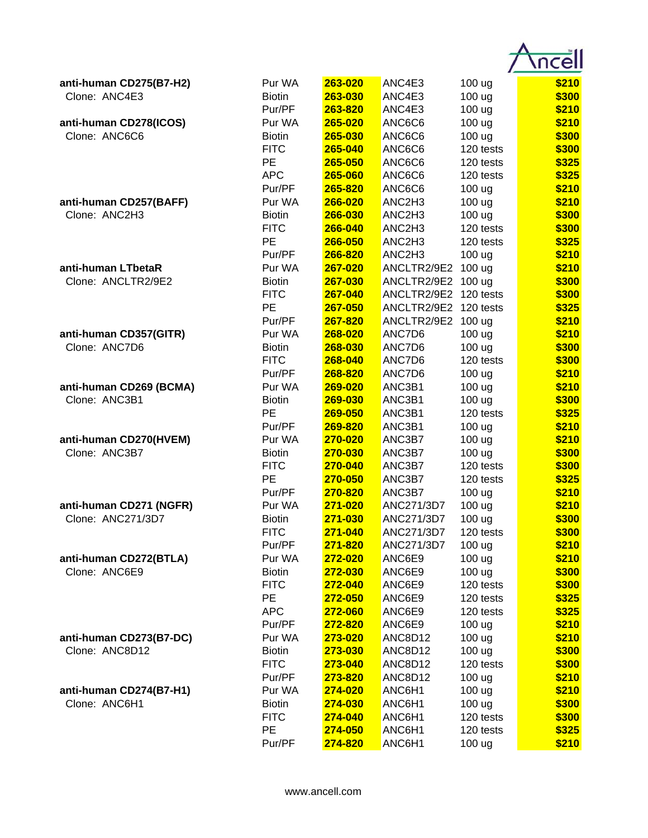| anti-human CD275(B7-H2) | Pur WA        | 263-020        | ANC4E3      | 100 ug            | \$210 |
|-------------------------|---------------|----------------|-------------|-------------------|-------|
| Clone: ANC4E3           | <b>Biotin</b> | 263-030        | ANC4E3      | 100 ug            | \$300 |
|                         | Pur/PF        | 263-820        | ANC4E3      | 100 ug            | \$210 |
| anti-human CD278(ICOS)  | Pur WA        | 265-020        | ANC6C6      | 100 ug            | \$210 |
| Clone: ANC6C6           | <b>Biotin</b> | 265-030        | ANC6C6      | 100 ug            | \$300 |
|                         | <b>FITC</b>   | 265-040        | ANC6C6      | 120 tests         | \$300 |
|                         | PE            | 265-050        | ANC6C6      | 120 tests         | \$325 |
|                         | <b>APC</b>    | 265-060        | ANC6C6      | 120 tests         | \$325 |
|                         | Pur/PF        | 265-820        | ANC6C6      | 100 ug            | \$210 |
| anti-human CD257(BAFF)  | Pur WA        | 266-020        | ANC2H3      | 100 ug            | \$210 |
| Clone: ANC2H3           | <b>Biotin</b> | 266-030        | ANC2H3      | 100 ug            | \$300 |
|                         | <b>FITC</b>   | 266-040        | ANC2H3      | 120 tests         | \$300 |
|                         | <b>PE</b>     | 266-050        | ANC2H3      | 120 tests         | \$325 |
|                         | Pur/PF        | 266-820        | ANC2H3      | 100 ug            | \$210 |
| anti-human LTbetaR      | Pur WA        | 267-020        | ANCLTR2/9E2 | 100 <sub>ug</sub> | \$210 |
| Clone: ANCLTR2/9E2      | <b>Biotin</b> | 267-030        | ANCLTR2/9E2 | 100 <sub>ug</sub> | \$300 |
|                         | <b>FITC</b>   | 267-040        | ANCLTR2/9E2 | 120 tests         | \$300 |
|                         | <b>PE</b>     | 267-050        | ANCLTR2/9E2 | 120 tests         | \$325 |
|                         | Pur/PF        | 267-820        | ANCLTR2/9E2 | 100 <sub>ug</sub> | \$210 |
| anti-human CD357(GITR)  | Pur WA        | 268-020        | ANC7D6      | 100 ug            | \$210 |
| Clone: ANC7D6           | <b>Biotin</b> | 268-030        | ANC7D6      | 100 ug            | \$300 |
|                         | <b>FITC</b>   | 268-040        | ANC7D6      | 120 tests         | \$300 |
|                         | Pur/PF        | 268-820        | ANC7D6      | 100 ug            | \$210 |
| anti-human CD269 (BCMA) | Pur WA        | 269-020        | ANC3B1      | 100 ug            | \$210 |
| Clone: ANC3B1           | <b>Biotin</b> | 269-030        | ANC3B1      | 100 ug            | \$300 |
|                         | <b>PE</b>     | 269-050        | ANC3B1      | 120 tests         | \$325 |
|                         | Pur/PF        | 269-820        | ANC3B1      | 100 ug            | \$210 |
| anti-human CD270(HVEM)  | Pur WA        | 270-020        | ANC3B7      | 100 ug            | \$210 |
| Clone: ANC3B7           | <b>Biotin</b> | 270-030        | ANC3B7      | 100 ug            | \$300 |
|                         | <b>FITC</b>   | 270-040        | ANC3B7      | 120 tests         | \$300 |
|                         | PE            | 270-050        | ANC3B7      | 120 tests         | \$325 |
|                         | Pur/PF        | 270-820        | ANC3B7      | 100 ug            | \$210 |
| anti-human CD271 (NGFR) | Pur WA        | 271-020        | ANC271/3D7  | 100 ug            | \$210 |
| Clone: ANC271/3D7       | <b>Biotin</b> | <b>271-030</b> | ANC271/3D7  | 100 ug            | \$300 |
|                         | <b>FITC</b>   | 271-040        | ANC271/3D7  | 120 tests         | \$300 |
|                         | Pur/PF        | 271-820        | ANC271/3D7  | 100 ug            | \$210 |
| anti-human CD272(BTLA)  | Pur WA        | 272-020        | ANC6E9      | 100 ug            | \$210 |
| Clone: ANC6E9           | <b>Biotin</b> | 272-030        | ANC6E9      | 100 ug            | \$300 |
|                         | <b>FITC</b>   | 272-040        | ANC6E9      | 120 tests         | \$300 |
|                         | PE            | 272-050        | ANC6E9      | 120 tests         | \$325 |
|                         | <b>APC</b>    | 272-060        | ANC6E9      | 120 tests         | \$325 |
|                         | Pur/PF        | 272-820        | ANC6E9      | 100 ug            | \$210 |
| anti-human CD273(B7-DC) | Pur WA        | 273-020        | ANC8D12     | 100 ug            | \$210 |
| Clone: ANC8D12          | <b>Biotin</b> | 273-030        | ANC8D12     | 100 ug            | \$300 |
|                         | <b>FITC</b>   | 273-040        | ANC8D12     | 120 tests         | \$300 |
|                         | Pur/PF        | 273-820        | ANC8D12     | 100 ug            | \$210 |
| anti-human CD274(B7-H1) | Pur WA        | 274-020        | ANC6H1      | 100 ug            | \$210 |
| Clone: ANC6H1           | <b>Biotin</b> | 274-030        | ANC6H1      | 100 ug            | \$300 |
|                         | <b>FITC</b>   | 274-040        | ANC6H1      | 120 tests         | \$300 |
|                         | PE            | 274-050        | ANC6H1      | 120 tests         | \$325 |
|                         | Pur/PF        | 274-820        | ANC6H1      | 100 ug            | \$210 |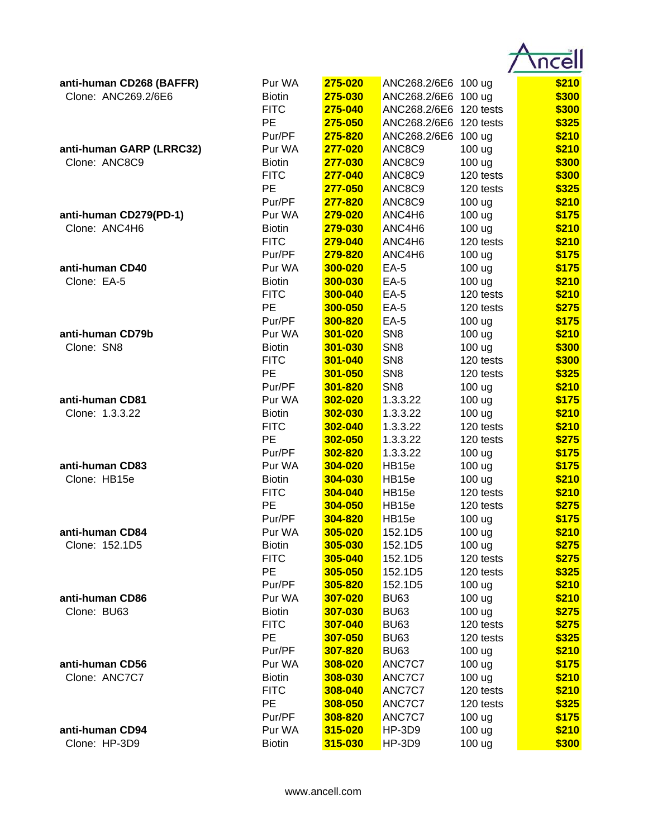| anti-human CD268 (BAFFR)                                                                                                 | Pur WA        | 275-020        | ANC268.2/6E6 100 ug    |                   | \$210 |
|--------------------------------------------------------------------------------------------------------------------------|---------------|----------------|------------------------|-------------------|-------|
| Clone: ANC269.2/6E6                                                                                                      | <b>Biotin</b> | 275-030        | ANC268.2/6E6           | 100 <sub>ug</sub> | \$300 |
|                                                                                                                          | <b>FITC</b>   | 275-040        | ANC268.2/6E6           | 120 tests         | \$300 |
|                                                                                                                          | PE            | 275-050        | ANC268.2/6E6 120 tests |                   | \$325 |
|                                                                                                                          | Pur/PF        | 275-820        | ANC268.2/6E6 100 ug    |                   | \$210 |
| anti-human GARP (LRRC32)                                                                                                 | Pur WA        | 277-020        | ANC8C9                 | 100 ug            | \$210 |
|                                                                                                                          | <b>Biotin</b> | 277-030        | ANC8C9                 | 100 ug            | \$300 |
|                                                                                                                          | <b>FITC</b>   | 277-040        | ANC8C9                 | 120 tests         | \$300 |
| Clone: ANC8C9<br>anti-human CD279(PD-1)<br>Clone: ANC4H6<br>Clone: EA-5<br>Clone: SN8<br>Clone: 1.3.3.22<br>Clone: HB15e | PE            | 277-050        | ANC8C9                 | 120 tests         | \$325 |
|                                                                                                                          | Pur/PF        | 277-820        | ANC8C9                 | 100 ug            | \$210 |
|                                                                                                                          | Pur WA        | 279-020        | ANC4H6                 | 100 ug            | \$175 |
|                                                                                                                          | <b>Biotin</b> | 279-030        | ANC4H6                 | 100 ug            | \$210 |
|                                                                                                                          | <b>FITC</b>   | 279-040        | ANC4H6                 | 120 tests         | \$210 |
|                                                                                                                          | Pur/PF        | 279-820        | ANC4H6                 | 100 ug            | \$175 |
| anti-human CD40                                                                                                          | Pur WA        | 300-020        | $EA-5$                 | 100 ug            | \$175 |
|                                                                                                                          | <b>Biotin</b> | 300-030        | $EA-5$                 | 100 ug            | \$210 |
|                                                                                                                          | <b>FITC</b>   | 300-040        | $EA-5$                 | 120 tests         | \$210 |
|                                                                                                                          | <b>PE</b>     | 300-050        | $EA-5$                 | 120 tests         | \$275 |
|                                                                                                                          | Pur/PF        | 300-820        | $EA-5$                 | 100 ug            | \$175 |
| anti-human CD79b                                                                                                         | Pur WA        | 301-020        | SN <sub>8</sub>        | 100 ug            | \$210 |
|                                                                                                                          | <b>Biotin</b> | 301-030        | SN <sub>8</sub>        | 100 ug            | \$300 |
|                                                                                                                          | <b>FITC</b>   | 301-040        | SN <sub>8</sub>        | 120 tests         | \$300 |
|                                                                                                                          | <b>PE</b>     | 301-050        | SN <sub>8</sub>        | 120 tests         | \$325 |
|                                                                                                                          | Pur/PF        | 301-820        | SN <sub>8</sub>        | 100 ug            | \$210 |
| anti-human CD81                                                                                                          | Pur WA        | 302-020        | 1.3.3.22               | 100 ug            | \$175 |
|                                                                                                                          | <b>Biotin</b> | 302-030        | 1.3.3.22               | 100 ug            | \$210 |
|                                                                                                                          | <b>FITC</b>   | 302-040        | 1.3.3.22               | 120 tests         | \$210 |
|                                                                                                                          | PE            | 302-050        | 1.3.3.22               | 120 tests         | \$275 |
|                                                                                                                          | Pur/PF        | 302-820        | 1.3.3.22               | 100 ug            | \$175 |
| anti-human CD83                                                                                                          | Pur WA        | 304-020        | HB15e                  | 100 ug            | \$175 |
|                                                                                                                          | <b>Biotin</b> | 304-030        | HB <sub>15e</sub>      | 100 ug            | \$210 |
|                                                                                                                          | <b>FITC</b>   | 304-040        | HB15e                  | 120 tests         | \$210 |
|                                                                                                                          | PE            | 304-050        | HB <sub>15e</sub>      | 120 tests         | \$275 |
|                                                                                                                          | Pur/PF        | <b>304-820</b> | HB <sub>15e</sub>      | 100 ug            | \$175 |
| anti-human CD84                                                                                                          | Pur WA        | 305-020        | 152.1D5                | 100 ug            | \$210 |
| Clone: 152.1D5                                                                                                           | <b>Biotin</b> | 305-030        | 152.1D5                | 100 ug            | \$275 |
|                                                                                                                          | <b>FITC</b>   | 305-040        | 152.1D5                | 120 tests         | \$275 |
|                                                                                                                          | PE            | 305-050        | 152.1D5                | 120 tests         | \$325 |
|                                                                                                                          | Pur/PF        | 305-820        | 152.1D5                | 100 ug            | \$210 |
| anti-human CD86                                                                                                          | Pur WA        | 307-020        | <b>BU63</b>            | 100 ug            | \$210 |
| Clone: BU63                                                                                                              | <b>Biotin</b> | 307-030        | <b>BU63</b>            | 100 ug            | \$275 |
|                                                                                                                          | <b>FITC</b>   | 307-040        | <b>BU63</b>            | 120 tests         | \$275 |
|                                                                                                                          | PE            | 307-050        | <b>BU63</b>            | 120 tests         | \$325 |
|                                                                                                                          | Pur/PF        | 307-820        | <b>BU63</b>            | 100 ug            | \$210 |
| anti-human CD56                                                                                                          | Pur WA        | 308-020        | ANC7C7                 | 100 ug            | \$175 |
| Clone: ANC7C7                                                                                                            | <b>Biotin</b> | 308-030        | ANC7C7                 | 100 ug            | \$210 |
|                                                                                                                          | <b>FITC</b>   | 308-040        | ANC7C7                 | 120 tests         | \$210 |
|                                                                                                                          | <b>PE</b>     | 308-050        | ANC7C7                 | 120 tests         | \$325 |
|                                                                                                                          | Pur/PF        | 308-820        | ANC7C7                 | 100 ug            | \$175 |
| anti-human CD94                                                                                                          | Pur WA        | 315-020        | <b>HP-3D9</b>          | 100 ug            | \$210 |
| Clone: HP-3D9                                                                                                            | <b>Biotin</b> | 315-030        | HP-3D9                 | 100 ug            | \$300 |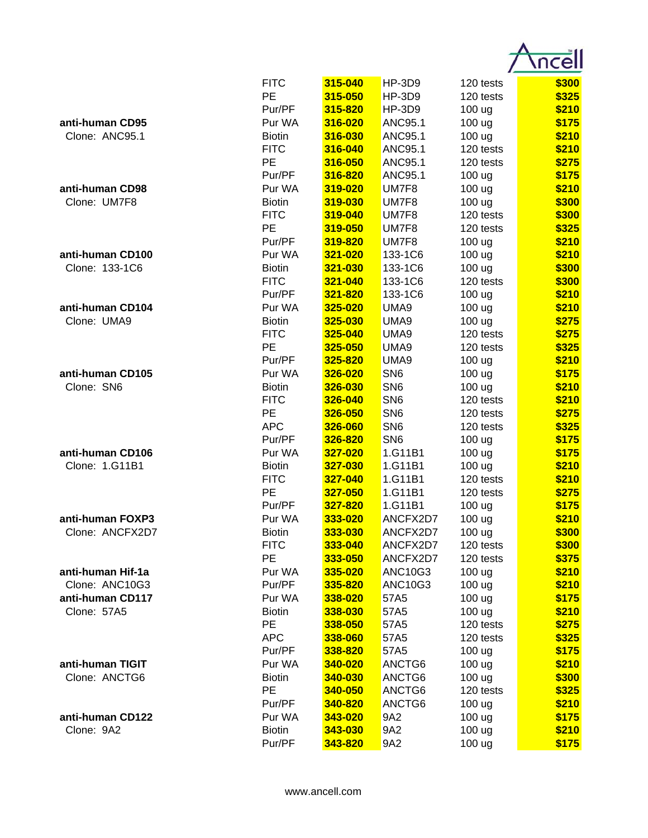|                   | <b>FITC</b>   | 315-040        | <b>HP-3D9</b>   | 120 tests | \$300 |
|-------------------|---------------|----------------|-----------------|-----------|-------|
|                   | PE            | 315-050        | <b>HP-3D9</b>   | 120 tests | \$325 |
|                   | Pur/PF        | 315-820        | <b>HP-3D9</b>   | 100 ug    | \$210 |
| anti-human CD95   | Pur WA        | 316-020        | ANC95.1         | 100 ug    | \$175 |
| Clone: ANC95.1    | <b>Biotin</b> | 316-030        | <b>ANC95.1</b>  | 100 ug    | \$210 |
|                   | <b>FITC</b>   | 316-040        | <b>ANC95.1</b>  | 120 tests | \$210 |
|                   | PE            | 316-050        | <b>ANC95.1</b>  | 120 tests | \$275 |
|                   | Pur/PF        | 316-820        | <b>ANC95.1</b>  | 100 ug    | \$175 |
| anti-human CD98   | Pur WA        | 319-020        | UM7F8           | 100 ug    | \$210 |
| Clone: UM7F8      | <b>Biotin</b> | 319-030        | UM7F8           | 100 ug    | \$300 |
|                   | <b>FITC</b>   | 319-040        | UM7F8           | 120 tests | \$300 |
|                   | <b>PE</b>     | 319-050        | UM7F8           | 120 tests | \$325 |
|                   | Pur/PF        | 319-820        | UM7F8           | 100 ug    | \$210 |
| anti-human CD100  | Pur WA        | 321-020        | 133-1C6         | 100 ug    | \$210 |
| Clone: 133-1C6    | <b>Biotin</b> | 321-030        | 133-1C6         | 100 ug    | \$300 |
|                   | <b>FITC</b>   | 321-040        | 133-1C6         | 120 tests | \$300 |
|                   | Pur/PF        | 321-820        | 133-1C6         | 100 ug    | \$210 |
| anti-human CD104  | Pur WA        | 325-020        | UMA9            | 100 ug    | \$210 |
| Clone: UMA9       | <b>Biotin</b> | 325-030        | UMA9            | 100 ug    | \$275 |
|                   | <b>FITC</b>   | 325-040        | UMA9            | 120 tests | \$275 |
|                   | <b>PE</b>     | 325-050        | UMA9            | 120 tests | \$325 |
|                   | Pur/PF        | 325-820        | UMA9            | 100 ug    | \$210 |
| anti-human CD105  | Pur WA        | 326-020        | SN <sub>6</sub> | 100 ug    | \$175 |
| Clone: SN6        | <b>Biotin</b> | 326-030        | SN <sub>6</sub> | 100 ug    | \$210 |
|                   | <b>FITC</b>   | 326-040        | SN <sub>6</sub> | 120 tests | \$210 |
|                   | PE            | 326-050        | SN <sub>6</sub> | 120 tests | \$275 |
|                   | <b>APC</b>    | 326-060        | SN <sub>6</sub> | 120 tests | \$325 |
|                   | Pur/PF        | 326-820        | SN <sub>6</sub> | 100 ug    | \$175 |
| anti-human CD106  | Pur WA        | 327-020        | 1.G11B1         | 100 ug    | \$175 |
| Clone: 1.G11B1    | <b>Biotin</b> | 327-030        | 1.G11B1         | 100 ug    | \$210 |
|                   | <b>FITC</b>   | 327-040        | 1.G11B1         | 120 tests | \$210 |
|                   | PE            | 327-050        | 1.G11B1         | 120 tests | \$275 |
|                   | Pur/PF        | 327-820        | 1.G11B1         | 100 ug    | \$175 |
| anti-human FOXP3  | Pur WA        | <b>333-020</b> | ANCFX2D7        | 100 ug    | \$210 |
| Clone: ANCFX2D7   | <b>Biotin</b> | 333-030        | ANCFX2D7        | 100 ug    | \$300 |
|                   | <b>FITC</b>   | 333-040        | ANCFX2D7        | 120 tests | \$300 |
|                   | PE            | 333-050        | ANCFX2D7        | 120 tests | \$375 |
| anti-human Hif-1a | Pur WA        | 335-020        | <b>ANC10G3</b>  | 100 ug    | \$210 |
| Clone: ANC10G3    | Pur/PF        | 335-820        | <b>ANC10G3</b>  | 100 ug    | \$210 |
| anti-human CD117  | Pur WA        | 338-020        | 57A5            | 100 ug    | \$175 |
| Clone: 57A5       | <b>Biotin</b> | 338-030        | 57A5            | 100 ug    | \$210 |
|                   | PE            | 338-050        | 57A5            | 120 tests | \$275 |
|                   | <b>APC</b>    | 338-060        | 57A5            | 120 tests | \$325 |
|                   | Pur/PF        | 338-820        | 57A5            | 100 ug    | \$175 |
| anti-human TIGIT  | Pur WA        | 340-020        | ANCTG6          | 100 ug    | \$210 |
| Clone: ANCTG6     | <b>Biotin</b> | 340-030        | ANCTG6          | 100 ug    | \$300 |
|                   | <b>PE</b>     | 340-050        | ANCTG6          | 120 tests | \$325 |
|                   | Pur/PF        | 340-820        | ANCTG6          | 100 ug    | \$210 |
| anti-human CD122  | Pur WA        | 343-020        | 9A2             | 100 ug    | \$175 |
| Clone: 9A2        | <b>Biotin</b> | 343-030        | 9A2             | 100 ug    | \$210 |
|                   | Pur/PF        | 343-820        | 9A2             | 100 ug    | \$175 |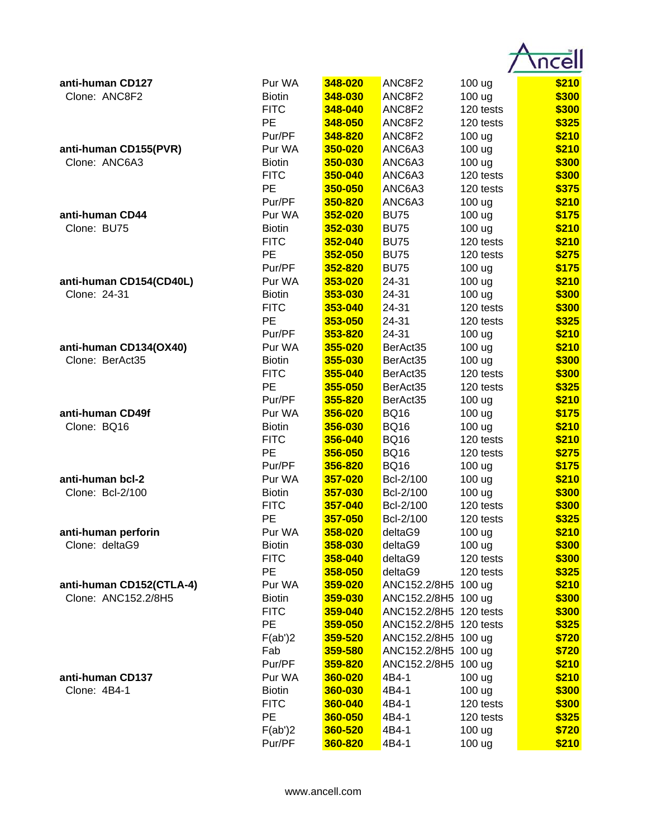| anti-human CD127         | Pur WA        | 348-020        | ANC8F2                 | 100 ug    | \$210 |
|--------------------------|---------------|----------------|------------------------|-----------|-------|
| Clone: ANC8F2            | <b>Biotin</b> | 348-030        | ANC8F2                 | 100 ug    | \$300 |
|                          | <b>FITC</b>   | 348-040        | ANC8F2                 | 120 tests | \$300 |
|                          | PE            | 348-050        | ANC8F2                 | 120 tests | \$325 |
|                          | Pur/PF        | 348-820        | ANC8F2                 | 100 ug    | \$210 |
| anti-human CD155(PVR)    | Pur WA        | 350-020        | ANC6A3                 | 100 ug    | \$210 |
| Clone: ANC6A3            | <b>Biotin</b> | 350-030        | ANC6A3                 | 100 ug    | \$300 |
|                          | <b>FITC</b>   | 350-040        | ANC6A3                 | 120 tests | \$300 |
|                          | PE            | 350-050        | ANC6A3                 | 120 tests | \$375 |
|                          | Pur/PF        | 350-820        | ANC6A3                 | 100 ug    | \$210 |
| anti-human CD44          | Pur WA        | 352-020        | <b>BU75</b>            | 100 ug    | \$175 |
| Clone: BU75              | <b>Biotin</b> | 352-030        | <b>BU75</b>            | 100 ug    | \$210 |
|                          | <b>FITC</b>   | 352-040        | <b>BU75</b>            | 120 tests | \$210 |
|                          | PE            | 352-050        | <b>BU75</b>            | 120 tests | \$275 |
|                          | Pur/PF        | 352-820        | <b>BU75</b>            | 100 ug    | \$175 |
| anti-human CD154(CD40L)  | Pur WA        | 353-020        | 24-31                  | 100 ug    | \$210 |
| Clone: 24-31             | <b>Biotin</b> | 353-030        | 24-31                  | 100 ug    | \$300 |
|                          | <b>FITC</b>   | 353-040        | 24-31                  | 120 tests | \$300 |
|                          | PE            | 353-050        | 24-31                  | 120 tests | \$325 |
|                          | Pur/PF        | 353-820        | 24-31                  | 100 ug    | \$210 |
| anti-human CD134(OX40)   | Pur WA        | 355-020        | BerAct35               | 100 ug    | \$210 |
| Clone: BerAct35          | <b>Biotin</b> | 355-030        | BerAct35               | 100 ug    | \$300 |
|                          | <b>FITC</b>   | 355-040        | BerAct35               | 120 tests | \$300 |
|                          | <b>PE</b>     | 355-050        | BerAct35               | 120 tests | \$325 |
|                          | Pur/PF        | 355-820        | BerAct35               | 100 ug    | \$210 |
| anti-human CD49f         | Pur WA        | 356-020        | <b>BQ16</b>            | 100 ug    | \$175 |
| Clone: BQ16              | <b>Biotin</b> | 356-030        | <b>BQ16</b>            | 100 ug    | \$210 |
|                          | <b>FITC</b>   | 356-040        | <b>BQ16</b>            | 120 tests | \$210 |
|                          | PE            | 356-050        | <b>BQ16</b>            | 120 tests | \$275 |
|                          | Pur/PF        | 356-820        | <b>BQ16</b>            | 100 ug    | \$175 |
| anti-human bcl-2         | Pur WA        | 357-020        | Bcl-2/100              | 100 ug    | \$210 |
| Clone: Bcl-2/100         | <b>Biotin</b> | 357-030        | Bcl-2/100              | 100 ug    | \$300 |
|                          | <b>FITC</b>   | 357-040        | Bcl-2/100              | 120 tests | \$300 |
|                          | PE            | <u>357-050</u> | Bcl-2/100              | 120 tests | \$325 |
| anti-human perforin      | Pur WA        | 358-020        | deltaG9                | 100 ug    | \$210 |
| Clone: deltaG9           | <b>Biotin</b> | 358-030        | deltaG9                | 100 ug    | \$300 |
|                          | <b>FITC</b>   | 358-040        | deltaG9                | 120 tests | \$300 |
|                          | PE            | 358-050        | deltaG9                | 120 tests | \$325 |
| anti-human CD152(CTLA-4) | Pur WA        | 359-020        | ANC152.2/8H5 100 ug    |           | \$210 |
| Clone: ANC152.2/8H5      | <b>Biotin</b> | 359-030        | ANC152.2/8H5 100 ug    |           | \$300 |
|                          | <b>FITC</b>   | 359-040        | ANC152.2/8H5 120 tests |           | \$300 |
|                          | PE            | 359-050        | ANC152.2/8H5 120 tests |           | \$325 |
|                          | F(ab')2       | 359-520        | ANC152.2/8H5 100 ug    |           | \$720 |
|                          | Fab           | 359-580        | ANC152.2/8H5 100 ug    |           | \$720 |
|                          | Pur/PF        | 359-820        | ANC152.2/8H5 100 ug    |           | \$210 |
| anti-human CD137         | Pur WA        | 360-020        | 4B4-1                  | 100 ug    | \$210 |
| Clone: 4B4-1             | <b>Biotin</b> | 360-030        | 4B4-1                  | 100 ug    | \$300 |
|                          | <b>FITC</b>   | 360-040        | 4B4-1                  | 120 tests | \$300 |
|                          | PE            | 360-050        | 4B4-1                  | 120 tests | \$325 |
|                          | F(ab')2       | 360-520        | 4B4-1                  | 100 ug    | \$720 |
|                          | Pur/PF        | 360-820        | 4B4-1                  | 100 ug    | \$210 |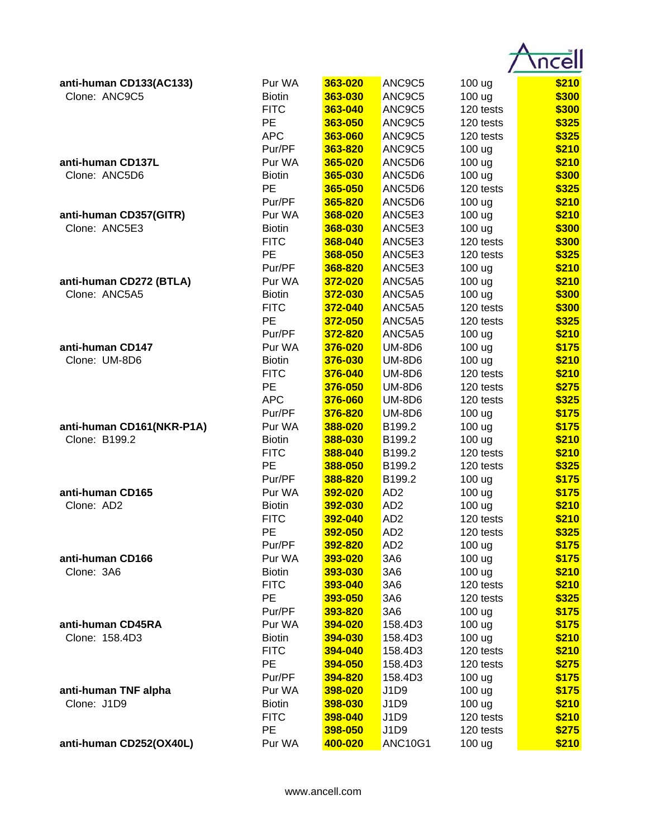| anti-human CD133(AC133)   | Pur WA            | 363-020            | ANC9C5          | 100 ug                 | \$210          |
|---------------------------|-------------------|--------------------|-----------------|------------------------|----------------|
| Clone: ANC9C5             | <b>Biotin</b>     | 363-030            | ANC9C5          | 100 ug                 | \$300          |
|                           | <b>FITC</b>       | 363-040            | ANC9C5          | 120 tests              | \$300          |
|                           | PE                | 363-050            | ANC9C5          | 120 tests              | \$325          |
|                           | <b>APC</b>        | 363-060            | ANC9C5          | 120 tests              | \$325          |
|                           | Pur/PF            | 363-820            | ANC9C5          | 100 ug                 | \$210          |
| anti-human CD137L         | Pur WA            | 365-020            | ANC5D6          | 100 ug                 | \$210          |
| Clone: ANC5D6             | <b>Biotin</b>     | 365-030            | ANC5D6          | 100 ug                 | \$300          |
|                           | PE                | 365-050            | ANC5D6          | 120 tests              | \$325          |
|                           | Pur/PF            | 365-820            | ANC5D6          | 100 <sub>ug</sub>      | \$210          |
| anti-human CD357(GITR)    | Pur WA            | 368-020            | ANC5E3          | 100 ug                 | \$210          |
| Clone: ANC5E3             | <b>Biotin</b>     | 368-030            | ANC5E3          | 100 ug                 | \$300          |
|                           | <b>FITC</b>       | 368-040            | ANC5E3          | 120 tests              | \$300          |
|                           | PE                | 368-050            | ANC5E3          | 120 tests              | \$325          |
|                           | Pur/PF            | 368-820            | ANC5E3          | 100 ug                 | \$210          |
| anti-human CD272 (BTLA)   | Pur WA            | 372-020            | ANC5A5          | 100 ug                 | \$210          |
| Clone: ANC5A5             | <b>Biotin</b>     | 372-030            | ANC5A5          | 100 ug                 | \$300          |
|                           | <b>FITC</b>       | 372-040            | ANC5A5          | 120 tests              | \$300          |
|                           | PE                | 372-050            | ANC5A5          | 120 tests              | \$325          |
|                           | Pur/PF            | 372-820            | ANC5A5          | 100 ug                 | \$210          |
| anti-human CD147          | Pur WA            | 376-020            | <b>UM-8D6</b>   | 100 ug                 | \$175          |
| Clone: UM-8D6             | <b>Biotin</b>     | 376-030            | <b>UM-8D6</b>   | 100 ug                 | \$210          |
|                           | <b>FITC</b>       | 376-040            | <b>UM-8D6</b>   | 120 tests              | \$210          |
|                           | PE                | 376-050            | <b>UM-8D6</b>   | 120 tests              | \$275          |
|                           | <b>APC</b>        | 376-060            | <b>UM-8D6</b>   | 120 tests              | \$325          |
|                           | Pur/PF            | 376-820            | <b>UM-8D6</b>   | 100 ug                 | \$175          |
| anti-human CD161(NKR-P1A) | Pur WA            | 388-020            | B199.2          | 100 ug                 | \$175          |
| Clone: B199.2             | <b>Biotin</b>     | 388-030            | B199.2          | 100 ug                 | \$210          |
|                           | <b>FITC</b>       | 388-040            | B199.2          | 120 tests              | \$210          |
|                           | PE                | 388-050            | B199.2          | 120 tests              | \$325          |
|                           | Pur/PF            | 388-820            | B199.2          | 100 ug                 | \$175          |
| anti-human CD165          | Pur WA            | 392-020            | AD <sub>2</sub> | 100 ug                 | \$175          |
| Clone: AD2                | <b>Biotin</b>     | 392-030            | AD2             | 100 ug                 | \$210          |
|                           | <b>FITC</b>       | <u>392-040</u>     | AD2             | 120 tests              | \$210          |
|                           | PE                | 392-050            | AD <sub>2</sub> | 120 tests              | \$325          |
|                           | Pur/PF            | 392-820            | AD <sub>2</sub> | 100 ug                 | \$175          |
| anti-human CD166          | Pur WA            | 393-020            | 3A6             | 100 ug                 | \$175          |
| Clone: 3A6                | <b>Biotin</b>     | 393-030            | 3A6             | 100 ug                 | \$210          |
|                           | <b>FITC</b>       | 393-040            | 3A6             | 120 tests              | \$210          |
|                           | PE                | 393-050            | 3A6             | 120 tests              | \$325          |
|                           | Pur/PF            | 393-820            | 3A6             | 100 ug                 | \$175          |
| anti-human CD45RA         | Pur WA            | 394-020            | 158.4D3         | 100 ug                 | \$175          |
| Clone: 158.4D3            | <b>Biotin</b>     | 394-030            | 158.4D3         | 100 ug                 | \$210          |
|                           | <b>FITC</b>       | 394-040            | 158.4D3         | 120 tests              | \$210          |
|                           | PE                | 394-050            | 158.4D3         | 120 tests              | \$275          |
|                           | Pur/PF            | 394-820            | 158.4D3         | 100 ug                 | \$175          |
| anti-human TNF alpha      | Pur WA            | 398-020            | J1D9            | 100 ug                 | \$175          |
| Clone: J1D9               | <b>Biotin</b>     | 398-030            | J1D9            | 100 ug                 | \$210          |
|                           | <b>FITC</b><br>PE | 398-040            | J1D9<br>J1D9    | 120 tests<br>120 tests | \$210          |
| anti-human CD252(OX40L)   | Pur WA            | 398-050<br>400-020 | <b>ANC10G1</b>  | 100 ug                 | \$275<br>\$210 |
|                           |                   |                    |                 |                        |                |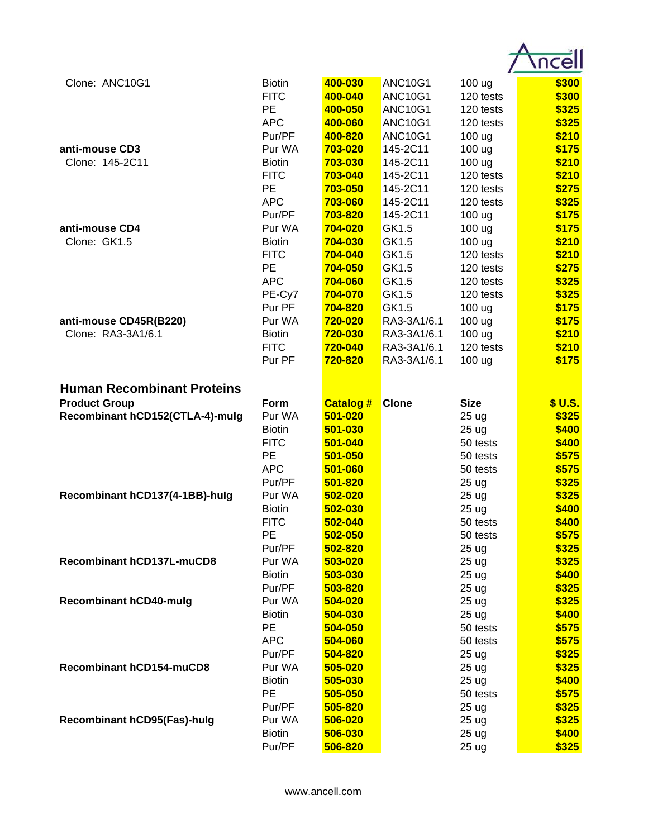| Clone: ANC10G1                                            | <b>Biotin</b><br><b>FITC</b><br><b>PE</b><br><b>APC</b> | 400-030<br>400-040<br>400-050<br>400-060 | <b>ANC10G1</b><br><b>ANC10G1</b><br><b>ANC10G1</b><br><b>ANC10G1</b> | 100 ug<br>120 tests<br>120 tests<br>120 tests                | \$300<br>\$300<br>\$325<br>\$325 |
|-----------------------------------------------------------|---------------------------------------------------------|------------------------------------------|----------------------------------------------------------------------|--------------------------------------------------------------|----------------------------------|
| anti-mouse CD3<br>Clone: 145-2C11                         | Pur/PF<br>Pur WA<br><b>Biotin</b>                       | 400-820<br>703-020<br>703-030            | <b>ANC10G1</b><br>145-2C11<br>145-2C11                               | 100 ug<br>100 ug<br>100 ug                                   | \$210<br>\$175<br>\$210          |
|                                                           | <b>FITC</b><br><b>PE</b><br><b>APC</b><br>Pur/PF        | 703-040<br>703-050<br>703-060<br>703-820 | 145-2C11<br>145-2C11<br>145-2C11<br>145-2C11                         | 120 tests<br>120 tests<br>120 tests<br>100 ug                | \$210<br>\$275<br>\$325<br>\$175 |
| anti-mouse CD4<br>Clone: GK1.5                            | Pur WA<br><b>Biotin</b><br><b>FITC</b>                  | 704-020<br>704-030<br>704-040            | GK1.5<br>GK1.5<br>GK1.5                                              | 100 ug<br>100 ug<br>120 tests                                | \$175<br>\$210<br>\$210          |
|                                                           | <b>PE</b><br><b>APC</b><br>PE-Cy7<br>Pur PF             | 704-050<br>704-060<br>704-070<br>704-820 | GK1.5<br>GK1.5<br>GK1.5<br>GK1.5                                     | 120 tests<br>120 tests<br>120 tests<br>100 ug                | \$275<br>\$325<br>\$325<br>\$175 |
| anti-mouse CD45R(B220)<br>Clone: RA3-3A1/6.1              | Pur WA<br><b>Biotin</b><br><b>FITC</b><br>Pur PF        | 720-020<br>720-030<br>720-040<br>720-820 | RA3-3A1/6.1<br>RA3-3A1/6.1<br>RA3-3A1/6.1<br>RA3-3A1/6.1             | 100 ug<br>100 ug<br>120 tests<br>100 ug                      | \$175<br>\$210<br>\$210<br>\$175 |
| <b>Human Recombinant Proteins</b><br><b>Product Group</b> | Form                                                    | <b>Catalog #</b>                         | <b>Clone</b>                                                         | <b>Size</b>                                                  | \$ U.S.                          |
| Recombinant hCD152(CTLA-4)-mulg                           | Pur WA<br><b>Biotin</b><br><b>FITC</b>                  | 501-020<br>501-030<br>501-040            |                                                                      | 25 <sub>ug</sub><br>25 ug<br>50 tests                        | \$325<br>\$400<br>\$400          |
| Recombinant hCD137(4-1BB)-hulg                            | <b>PE</b><br><b>APC</b><br>Pur/PF<br>Pur WA             | 501-050<br>501-060<br>501-820<br>502-020 |                                                                      | 50 tests<br>50 tests<br>25 <sub>ug</sub><br>25 ug            | \$575<br>\$575<br>\$325<br>\$325 |
|                                                           | <b>Biotin</b><br><b>FITC</b><br>PE<br>Pur/PF            | 502-030<br>502-040<br>502-050<br>502-820 |                                                                      | 25 ug<br>50 tests<br>50 tests<br>25 <sub>ug</sub>            | \$400<br>\$400<br>\$575<br>\$325 |
| Recombinant hCD137L-muCD8                                 | Pur WA<br><b>Biotin</b><br>Pur/PF                       | 503-020<br>503-030<br>503-820            |                                                                      | 25 ug<br>25 ug<br>25 ug                                      | \$325<br>\$400<br>\$325          |
| <b>Recombinant hCD40-mulg</b>                             | Pur WA<br><b>Biotin</b><br>PE<br><b>APC</b>             | 504-020<br>504-030<br>504-050<br>504-060 |                                                                      | 25 <sub>ug</sub><br>25 <sub>ug</sub><br>50 tests<br>50 tests | \$325<br>\$400<br>\$575<br>\$575 |
| <b>Recombinant hCD154-muCD8</b>                           | Pur/PF<br>Pur WA<br><b>Biotin</b>                       | 504-820<br>505-020<br>505-030            |                                                                      | 25 ug<br>25 ug<br>25 ug                                      | \$325<br>\$325<br>\$400          |
| <b>Recombinant hCD95(Fas)-hulg</b>                        | PE<br>Pur/PF<br>Pur WA                                  | 505-050<br>505-820<br>506-020            |                                                                      | 50 tests<br>25 ug<br>25 ug                                   | \$575<br>\$325<br>\$325          |
|                                                           | <b>Biotin</b><br>Pur/PF                                 | 506-030<br>506-820                       |                                                                      | 25 ug<br>25 ug                                               | \$400<br>\$325                   |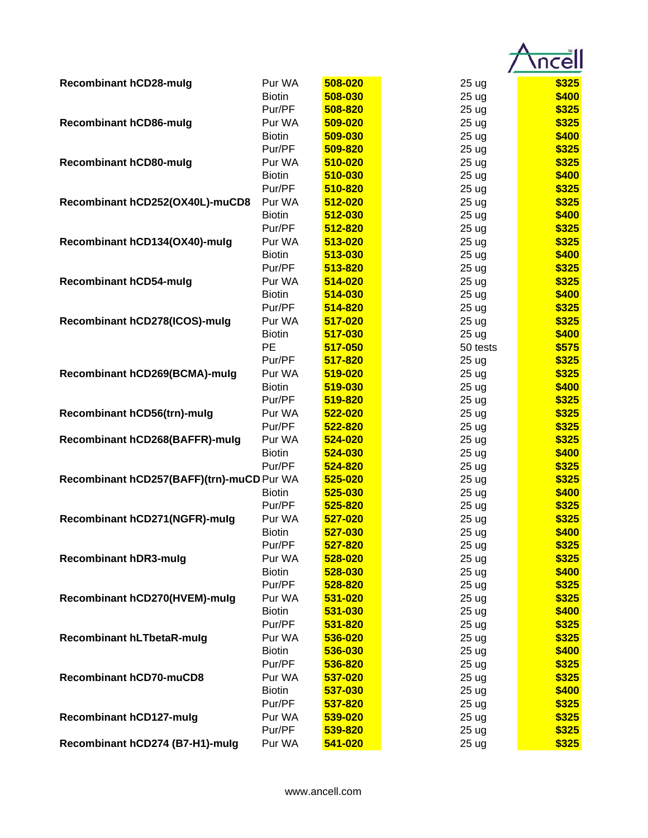| <b>Recombinant hCD28-mulg</b>             | Pur WA        | 508-020 | 25 <sub>ug</sub> | \$325 |
|-------------------------------------------|---------------|---------|------------------|-------|
|                                           | <b>Biotin</b> | 508-030 | 25 <sub>ug</sub> | \$400 |
|                                           | Pur/PF        | 508-820 | 25 <sub>ug</sub> | \$325 |
| <b>Recombinant hCD86-mulg</b>             | Pur WA        | 509-020 | 25 <sub>ug</sub> | \$325 |
|                                           | <b>Biotin</b> | 509-030 | 25 <sub>ug</sub> | \$400 |
|                                           | Pur/PF        | 509-820 | 25 <sub>ug</sub> | \$325 |
| <b>Recombinant hCD80-mulg</b>             | Pur WA        | 510-020 | 25 <sub>ug</sub> | \$325 |
|                                           | <b>Biotin</b> | 510-030 | 25 <sub>ug</sub> | \$400 |
|                                           | Pur/PF        | 510-820 | 25 ug            | \$325 |
| Recombinant hCD252(OX40L)-muCD8           | Pur WA        | 512-020 | 25 <sub>ug</sub> | \$325 |
|                                           | <b>Biotin</b> | 512-030 | 25 <sub>ug</sub> | \$400 |
|                                           | Pur/PF        | 512-820 | 25 ug            | \$325 |
| Recombinant hCD134(OX40)-mulg             | Pur WA        | 513-020 | 25 <sub>ug</sub> | \$325 |
|                                           | <b>Biotin</b> | 513-030 | 25 <sub>ug</sub> | \$400 |
|                                           | Pur/PF        | 513-820 | 25 <sub>ug</sub> | \$325 |
| <b>Recombinant hCD54-mulg</b>             | Pur WA        | 514-020 | 25 <sub>ug</sub> | \$325 |
|                                           | <b>Biotin</b> | 514-030 | 25 <sub>ug</sub> | \$400 |
|                                           | Pur/PF        | 514-820 | 25 <sub>ug</sub> | \$325 |
| Recombinant hCD278(ICOS)-mulg             | Pur WA        | 517-020 | 25 <sub>ug</sub> | \$325 |
|                                           | <b>Biotin</b> | 517-030 | 25 <sub>ug</sub> | \$400 |
|                                           | PE            | 517-050 | 50 tests         | \$575 |
|                                           | Pur/PF        | 517-820 |                  | \$325 |
|                                           |               |         | 25 <sub>ug</sub> |       |
| Recombinant hCD269(BCMA)-mulg             | Pur WA        | 519-020 | 25 ug            | \$325 |
|                                           | <b>Biotin</b> | 519-030 | 25 ug            | \$400 |
|                                           | Pur/PF        | 519-820 | 25 ug            | \$325 |
| Recombinant hCD56(trn)-mulg               | Pur WA        | 522-020 | 25 ug            | \$325 |
|                                           | Pur/PF        | 522-820 | 25 ug            | \$325 |
| Recombinant hCD268(BAFFR)-mulg            | Pur WA        | 524-020 | 25 <sub>ug</sub> | \$325 |
|                                           | <b>Biotin</b> | 524-030 | 25 <sub>ug</sub> | \$400 |
|                                           | Pur/PF        | 524-820 | 25 <sub>ug</sub> | \$325 |
| Recombinant hCD257(BAFF)(trn)-muCD Pur WA |               | 525-020 | 25 <sub>ug</sub> | \$325 |
|                                           | <b>Biotin</b> | 525-030 | 25 <sub>ug</sub> | \$400 |
|                                           | Pur/PF        | 525-820 | 25 ug            | \$325 |
| Recombinant hCD271(NGFR)-mulg             | Pur WA        | 527-020 | 25 ug            | \$325 |
|                                           | <b>Biotin</b> | 527-030 | 25 <sub>ug</sub> | \$400 |
|                                           | Pur/PF        | 527-820 | 25 ug            | \$325 |
| <b>Recombinant hDR3-mulg</b>              | Pur WA        | 528-020 | 25 ug            | \$325 |
|                                           | <b>Biotin</b> | 528-030 | 25 ug            | \$400 |
|                                           | Pur/PF        | 528-820 | 25 ug            | \$325 |
| Recombinant hCD270(HVEM)-mulg             | Pur WA        | 531-020 | 25 ug            | \$325 |
|                                           | <b>Biotin</b> | 531-030 | 25 <sub>ug</sub> | \$400 |
|                                           | Pur/PF        | 531-820 | 25 ug            | \$325 |
| <b>Recombinant hLTbetaR-mulg</b>          | Pur WA        | 536-020 | 25 ug            | \$325 |
|                                           | <b>Biotin</b> | 536-030 | 25 ug            | \$400 |
|                                           | Pur/PF        | 536-820 | 25 ug            | \$325 |
| <b>Recombinant hCD70-muCD8</b>            | Pur WA        | 537-020 | 25 ug            | \$325 |
|                                           | <b>Biotin</b> | 537-030 | 25 ug            | \$400 |
|                                           | Pur/PF        | 537-820 | 25 ug            | \$325 |
| <b>Recombinant hCD127-mulg</b>            | Pur WA        | 539-020 | 25 ug            | \$325 |
|                                           | Pur/PF        | 539-820 | 25 ug            | \$325 |
| Recombinant hCD274 (B7-H1)-mulg           | Pur WA        | 541-020 | 25 ug            | \$325 |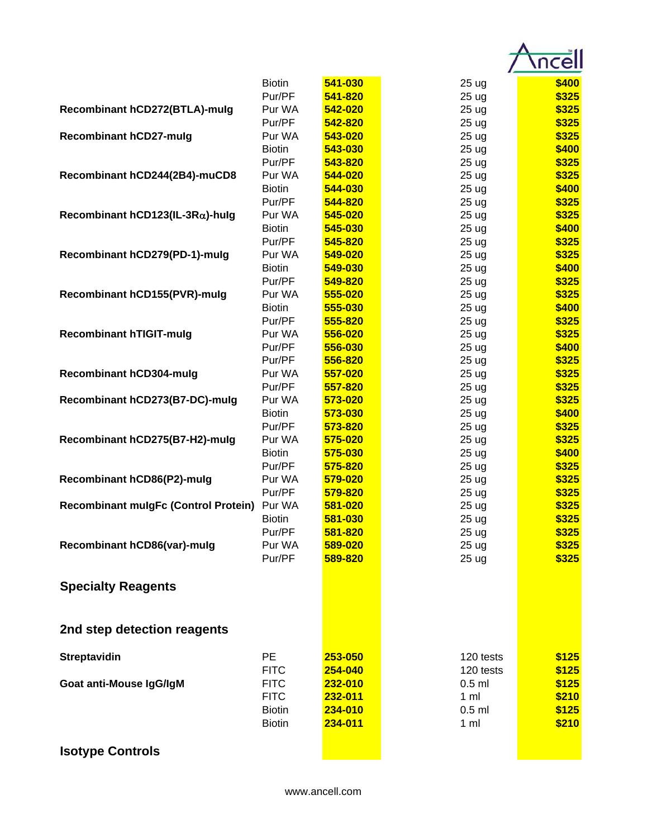|                                             | <b>Biotin</b> | 541-030 | 25 <sub>ug</sub> | \$400 |
|---------------------------------------------|---------------|---------|------------------|-------|
|                                             | Pur/PF        | 541-820 | 25 <sub>ug</sub> | \$325 |
| Recombinant hCD272(BTLA)-mulg               | Pur WA        | 542-020 | 25 <sub>ug</sub> | \$325 |
|                                             | Pur/PF        | 542-820 | 25 <sub>ug</sub> | \$325 |
| <b>Recombinant hCD27-mulg</b>               | Pur WA        | 543-020 | 25 <sub>ug</sub> | \$325 |
|                                             | <b>Biotin</b> | 543-030 | 25 <sub>ug</sub> | \$400 |
|                                             | Pur/PF        | 543-820 | 25 <sub>ug</sub> | \$325 |
| Recombinant hCD244(2B4)-muCD8               | Pur WA        | 544-020 | 25 ug            | \$325 |
|                                             | <b>Biotin</b> | 544-030 | 25 ug            | \$400 |
|                                             | Pur/PF        | 544-820 | 25 ug            | \$325 |
| Recombinant hCD123(IL-3R $\alpha$ )-hulg    | Pur WA        | 545-020 | 25 <sub>ug</sub> | \$325 |
|                                             | <b>Biotin</b> | 545-030 | 25 <sub>ug</sub> | \$400 |
|                                             | Pur/PF        | 545-820 | 25 ug            | \$325 |
| Recombinant hCD279(PD-1)-mulg               | Pur WA        | 549-020 | 25 <sub>ug</sub> | \$325 |
|                                             | <b>Biotin</b> | 549-030 | 25 <sub>ug</sub> | \$400 |
|                                             | Pur/PF        | 549-820 | 25 ug            | \$325 |
| Recombinant hCD155(PVR)-mulg                | Pur WA        | 555-020 | 25 <sub>uq</sub> | \$325 |
|                                             | <b>Biotin</b> | 555-030 | 25 <sub>ug</sub> | \$400 |
|                                             | Pur/PF        | 555-820 | 25 <sub>ug</sub> | \$325 |
| <b>Recombinant hTIGIT-mulg</b>              | Pur WA        | 556-020 | 25 ug            | \$325 |
|                                             | Pur/PF        | 556-030 | 25 <sub>ug</sub> | \$400 |
|                                             | Pur/PF        | 556-820 | 25 ug            | \$325 |
| <b>Recombinant hCD304-mulg</b>              | Pur WA        | 557-020 | 25 ug            | \$325 |
|                                             | Pur/PF        | 557-820 | 25 <sub>ug</sub> | \$325 |
| Recombinant hCD273(B7-DC)-mulg              | Pur WA        | 573-020 | 25 ug            | \$325 |
|                                             | <b>Biotin</b> | 573-030 | 25 ug            | \$400 |
|                                             | Pur/PF        | 573-820 | 25 ug            | \$325 |
| Recombinant hCD275(B7-H2)-mulg              | Pur WA        | 575-020 | 25 <sub>ug</sub> | \$325 |
|                                             | <b>Biotin</b> | 575-030 | 25 <sub>ug</sub> | \$400 |
|                                             | Pur/PF        | 575-820 | 25 ug            | \$325 |
| Recombinant hCD86(P2)-mulg                  | Pur WA        | 579-020 | 25 <sub>ug</sub> | \$325 |
|                                             | Pur/PF        | 579-820 | 25 <sub>ug</sub> | \$325 |
| <b>Recombinant mulgFc (Control Protein)</b> | Pur WA        | 581-020 | 25 ug            | \$325 |
|                                             | <b>Biotin</b> | 581-030 | 25 ug            | \$325 |
|                                             | Pur/PF        | 581-820 | 25 <sub>ug</sub> | \$325 |
| Recombinant hCD86(var)-mulg                 | Pur WA        | 589-020 | 25 ug            | \$325 |
|                                             | Pur/PF        | 589-820 | 25 ug            | \$325 |
| <b>Specialty Reagents</b>                   |               |         |                  |       |
| 2nd step detection reagents                 |               |         |                  |       |
| <b>Streptavidin</b>                         | PE            | 253-050 | 120 tests        | \$125 |
|                                             | <b>FITC</b>   | 254-040 | 120 tests        | \$125 |
| Goat anti-Mouse IgG/IgM                     | <b>FITC</b>   | 232-010 | $0.5$ ml         | \$125 |
|                                             | <b>FITC</b>   | 232-011 | 1 <sub>m</sub>   | \$210 |
|                                             | <b>Biotin</b> | 234-010 | $0.5$ ml         | \$125 |
|                                             | <b>Biotin</b> | 234-011 | 1 <sub>m</sub>   | \$210 |
|                                             |               |         |                  |       |
| <b>Isotype Controls</b>                     |               |         |                  |       |